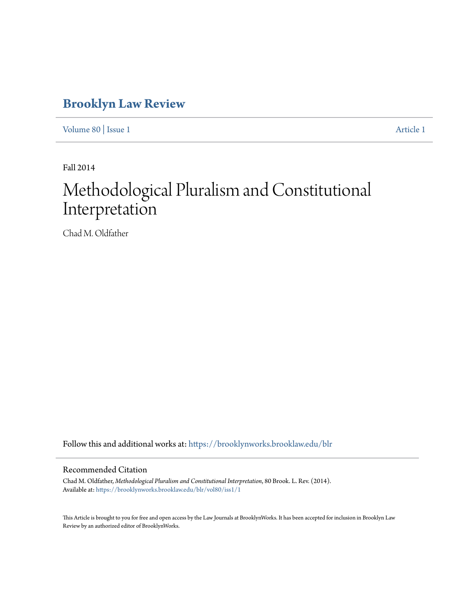# **[Brooklyn Law Review](https://brooklynworks.brooklaw.edu/blr?utm_source=brooklynworks.brooklaw.edu%2Fblr%2Fvol80%2Fiss1%2F1&utm_medium=PDF&utm_campaign=PDFCoverPages)**

[Volume 80](https://brooklynworks.brooklaw.edu/blr/vol80?utm_source=brooklynworks.brooklaw.edu%2Fblr%2Fvol80%2Fiss1%2F1&utm_medium=PDF&utm_campaign=PDFCoverPages) | [Issue 1](https://brooklynworks.brooklaw.edu/blr/vol80/iss1?utm_source=brooklynworks.brooklaw.edu%2Fblr%2Fvol80%2Fiss1%2F1&utm_medium=PDF&utm_campaign=PDFCoverPages) [Article 1](https://brooklynworks.brooklaw.edu/blr/vol80/iss1/1?utm_source=brooklynworks.brooklaw.edu%2Fblr%2Fvol80%2Fiss1%2F1&utm_medium=PDF&utm_campaign=PDFCoverPages)

Fall 2014

# Methodological Pluralism and Constitutional Interpretation

Chad M. Oldfather

Follow this and additional works at: [https://brooklynworks.brooklaw.edu/blr](https://brooklynworks.brooklaw.edu/blr?utm_source=brooklynworks.brooklaw.edu%2Fblr%2Fvol80%2Fiss1%2F1&utm_medium=PDF&utm_campaign=PDFCoverPages)

# Recommended Citation

Chad M. Oldfather, *Methodological Pluralism and Constitutional Interpretation*, 80 Brook. L. Rev. (2014). Available at: [https://brooklynworks.brooklaw.edu/blr/vol80/iss1/1](https://brooklynworks.brooklaw.edu/blr/vol80/iss1/1?utm_source=brooklynworks.brooklaw.edu%2Fblr%2Fvol80%2Fiss1%2F1&utm_medium=PDF&utm_campaign=PDFCoverPages)

This Article is brought to you for free and open access by the Law Journals at BrooklynWorks. It has been accepted for inclusion in Brooklyn Law Review by an authorized editor of BrooklynWorks.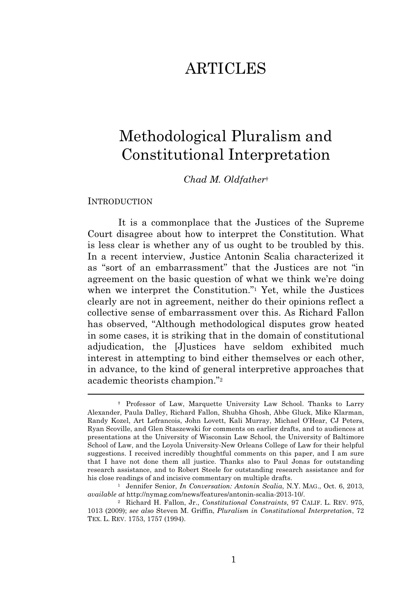# ARTICLES

# Methodological Pluralism and Constitutional Interpretation

*Chad M. Oldfather*†

#### **INTRODUCTION**

It is a commonplace that the Justices of the Supreme Court disagree about how to interpret the Constitution. What is less clear is whether any of us ought to be troubled by this. In a recent interview, Justice Antonin Scalia characterized it as "sort of an embarrassment" that the Justices are not "in agreement on the basic question of what we think we're doing when we interpret the Constitution." <sup>1</sup> Yet, while the Justices clearly are not in agreement, neither do their opinions reflect a collective sense of embarrassment over this. As Richard Fallon has observed, "Although methodological disputes grow heated in some cases, it is striking that in the domain of constitutional adjudication, the [J]ustices have seldom exhibited much interest in attempting to bind either themselves or each other, in advance, to the kind of general interpretive approaches that academic theorists champion." 2

<sup>†</sup> Professor of Law, Marquette University Law School. Thanks to Larry Alexander, Paula Dalley, Richard Fallon, Shubha Ghosh, Abbe Gluck, Mike Klarman, Randy Kozel, Art Lefrancois, John Lovett, Kali Murray, Michael O'Hear, CJ Peters, Ryan Scoville, and Glen Staszewski for comments on earlier drafts, and to audiences at presentations at the University of Wisconsin Law School, the University of Baltimore School of Law, and the Loyola University-New Orleans College of Law for their helpful suggestions. I received incredibly thoughtful comments on this paper, and I am sure that I have not done them all justice. Thanks also to Paul Jonas for outstanding research assistance, and to Robert Steele for outstanding research assistance and for his close readings of and incisive commentary on multiple drafts.

<sup>1</sup> Jennifer Senior, *In Conversation: Antonin Scalia*, N.Y. MAG., Oct. 6, 2013, *available at* http://nymag.com/news/features/antonin-scalia-2013-10/.

<sup>2</sup> Richard H. Fallon, Jr., *Constitutional Constraints*, 97 CALIF. L. REV. 975, 1013 (2009); *see also* Steven M. Griffin, *Pluralism in Constitutional Interpretation*, 72 TEX. L. REV. 1753, 1757 (1994).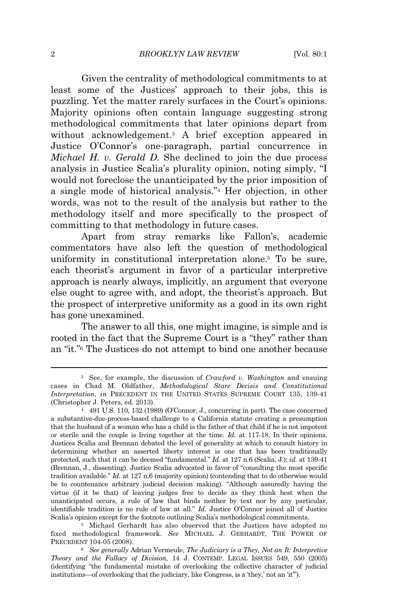Given the centrality of methodological commitments to at least some of the Justices' approach to their jobs, this is puzzling. Yet the matter rarely surfaces in the Court's opinions. Majority opinions often contain language suggesting strong methodological commitments that later opinions depart from without acknowledgement.<sup>3</sup> A brief exception appeared in Justice O'Connor's one-paragraph, partial concurrence in *Michael H. v. Gerald D.* She declined to join the due process analysis in Justice Scalia's plurality opinion, noting simply, "I would not foreclose the unanticipated by the prior imposition of a single mode of historical analysis." <sup>4</sup> Her objection, in other words, was not to the result of the analysis but rather to the methodology itself and more specifically to the prospect of committing to that methodology in future cases.

Apart from stray remarks like Fallon's, academic commentators have also left the question of methodological uniformity in constitutional interpretation alone.<sup>5</sup> To be sure, each theorist's argument in favor of a particular interpretive approach is nearly always, implicitly, an argument that everyone else ought to agree with, and adopt, the theorist's approach. But the prospect of interpretive uniformity as a good in its own right has gone unexamined.

The answer to all this, one might imagine, is simple and is rooted in the fact that the Supreme Court is a "they" rather than an "it." <sup>6</sup> The Justices do not attempt to bind one another because

<sup>3</sup> See, for example, the discussion of *Crawford v. Washington* and ensuing cases in Chad M. Oldfather, *Methodological Stare Decisis and Constitutional Interpretation*, *in* PRECEDENT IN THE UNITED STATES SUPREME COURT 135, 139-41 (Christopher J. Peters, ed. 2013).

<sup>4</sup> 491 U.S. 110, 132 (1989) (O'Connor, J., concurring in part). The case concerned a substantive-due-process-based challenge to a California statute creating a presumption that the husband of a woman who has a child is the father of that child if he is not impotent or sterile and the couple is living together at the time. *Id.* at 117-18. In their opinions, Justices Scalia and Brennan debated the level of generality at which to consult history in determining whether an asserted liberty interest is one that has been traditionally protected, such that it can be deemed "fundamental." *Id.* at 127 n.6 (Scalia, J.); *id.* at 139-41 (Brennan, J., dissenting). Justice Scalia advocated in favor of "consulting the most specific tradition available." *Id.* at 127 n.6 (majority opinion) (contending that to do otherwise would be to countenance arbitrary judicial decision making). "Although assuredly having the virtue (if it be that) of leaving judges free to decide as they think best when the unanticipated occurs, a rule of law that binds neither by text nor by any particular, identifiable tradition is no rule of law at all." *Id.* Justice O'Connor joined all of Justice Scalia's opinion except for the footnote outlining Scalia's methodological commitments.

<sup>5</sup> Michael Gerhardt has also observed that the Justices have adopted no fixed methodological framework. *See* MICHAEL J. GERHARDT, THE POWER OF PRECEDENT 104-05 (2008).

<sup>6</sup> *See generally* Adrian Vermeule, *The Judiciary is a They, Not an It: Interpretive Theory and the Fallacy of Division*, 14 J. CONTEMP. LEGAL ISSUES 549, 550 (2005) (identifying "the fundamental mistake of overlooking the collective character of judicial institutions—of overlooking that the judiciary, like Congress, is a 'they,' not an 'it'").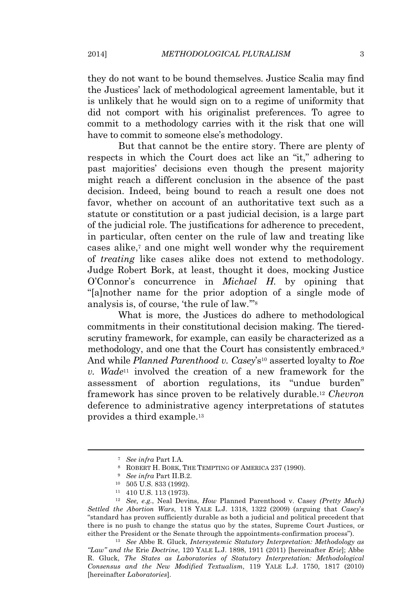they do not want to be bound themselves. Justice Scalia may find the Justices' lack of methodological agreement lamentable, but it is unlikely that he would sign on to a regime of uniformity that did not comport with his originalist preferences. To agree to commit to a methodology carries with it the risk that one will have to commit to someone else's methodology.

But that cannot be the entire story. There are plenty of respects in which the Court does act like an "it," adhering to past majorities' decisions even though the present majority might reach a different conclusion in the absence of the past decision. Indeed, being bound to reach a result one does not favor, whether on account of an authoritative text such as a statute or constitution or a past judicial decision, is a large part of the judicial role. The justifications for adherence to precedent, in particular, often center on the rule of law and treating like cases alike,<sup>7</sup> and one might well wonder why the requirement of *treating* like cases alike does not extend to methodology. Judge Robert Bork, at least, thought it does, mocking Justice O'Connor's concurrence in *Michael H.* by opining that "[a]nother name for the prior adoption of a single mode of analysis is, of course, 'the rule of law.'" 8

What is more, the Justices do adhere to methodological commitments in their constitutional decision making. The tieredscrutiny framework, for example, can easily be characterized as a methodology, and one that the Court has consistently embraced.<sup>9</sup> And while *Planned Parenthood v. Casey*'s<sup>10</sup> asserted loyalty to *Roe v. Wade*<sup>11</sup> involved the creation of a new framework for the assessment of abortion regulations, its "undue burden" framework has since proven to be relatively durable.<sup>12</sup> *Chevron* deference to administrative agency interpretations of statutes provides a third example.<sup>13</sup>

<sup>7</sup> *See infra* Part I.A.

<sup>8</sup> ROBERT H. BORK, THE TEMPTING OF AMERICA 237 (1990).

<sup>9</sup> *See infra* Part II.B.2.

<sup>10</sup> 505 U.S. 833 (1992).

<sup>11</sup> 410 U.S. 113 (1973).

<sup>12</sup> *See, e.g.*, Neal Devins, *How* Planned Parenthood v. Casey *(Pretty Much) Settled the Abortion Wars*, 118 YALE L.J. 1318, 1322 (2009) (arguing that *Casey*'s "standard has proven sufficiently durable as both a judicial and political precedent that there is no push to change the status quo by the states, Supreme Court Justices, or either the President or the Senate through the appointments-confirmation process").

<sup>13</sup> *See* Abbe R. Gluck, *Intersystemic Statutory Interpretation: Methodology as "Law" and the* Erie *Doctrine*, 120 YALE L.J. 1898, 1911 (2011) [hereinafter *Erie*]; Abbe R. Gluck, *The States as Laboratories of Statutory Interpretation: Methodological Consensus and the New Modified Textualism*, 119 YALE L.J. 1750, 1817 (2010) [hereinafter *Laboratories*].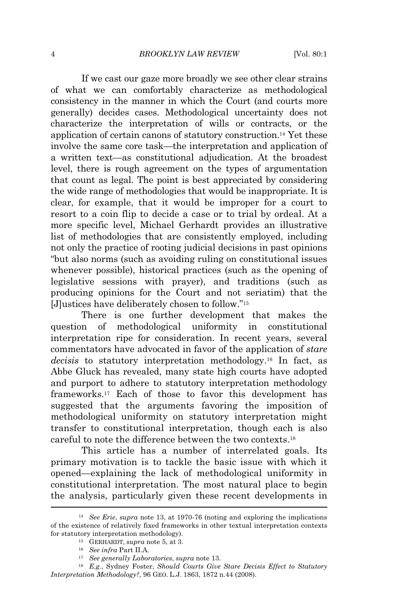If we cast our gaze more broadly we see other clear strains of what we can comfortably characterize as methodological consistency in the manner in which the Court (and courts more generally) decides cases. Methodological uncertainty does not characterize the interpretation of wills or contracts, or the application of certain canons of statutory construction.<sup>14</sup> Yet these involve the same core task—the interpretation and application of a written text—as constitutional adjudication. At the broadest level, there is rough agreement on the types of argumentation that count as legal. The point is best appreciated by considering the wide range of methodologies that would be inappropriate. It is clear, for example, that it would be improper for a court to resort to a coin flip to decide a case or to trial by ordeal. At a more specific level, Michael Gerhardt provides an illustrative list of methodologies that are consistently employed, including not only the practice of rooting judicial decisions in past opinions "but also norms (such as avoiding ruling on constitutional issues whenever possible), historical practices (such as the opening of legislative sessions with prayer), and traditions (such as producing opinions for the Court and not seriatim) that the [J]ustices have deliberately chosen to follow." 15

There is one further development that makes the question of methodological uniformity in constitutional interpretation ripe for consideration. In recent years, several commentators have advocated in favor of the application of *stare decisis* to statutory interpretation methodology.<sup>16</sup> In fact, as Abbe Gluck has revealed, many state high courts have adopted and purport to adhere to statutory interpretation methodology frameworks.<sup>17</sup> Each of those to favor this development has suggested that the arguments favoring the imposition of methodological uniformity on statutory interpretation might transfer to constitutional interpretation, though each is also careful to note the difference between the two contexts.<sup>18</sup>

This article has a number of interrelated goals. Its primary motivation is to tackle the basic issue with which it opened—explaining the lack of methodological uniformity in constitutional interpretation. The most natural place to begin the analysis, particularly given these recent developments in

<sup>14</sup> *See Erie*, *supra* note 13, at 1970-76 (noting and exploring the implications of the existence of relatively fixed frameworks in other textual interpretation contexts for statutory interpretation methodology).

<sup>15</sup> GERHARDT, *supra* note 5, at 3.

<sup>16</sup> *See infra* Part II.A.

<sup>17</sup> *See generally Laboratories*, *supra* note 13.

<sup>18</sup> *E.g.*, Sydney Foster, *Should Courts Give Stare Decisis Effect to Statutory Interpretation Methodology?*, 96 GEO. L.J. 1863, 1872 n.44 (2008).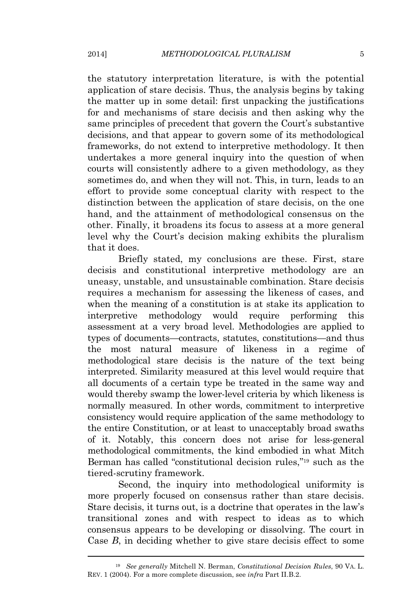the statutory interpretation literature, is with the potential application of stare decisis. Thus, the analysis begins by taking the matter up in some detail: first unpacking the justifications for and mechanisms of stare decisis and then asking why the same principles of precedent that govern the Court's substantive decisions, and that appear to govern some of its methodological frameworks, do not extend to interpretive methodology. It then undertakes a more general inquiry into the question of when courts will consistently adhere to a given methodology, as they sometimes do, and when they will not. This, in turn, leads to an effort to provide some conceptual clarity with respect to the distinction between the application of stare decisis, on the one hand, and the attainment of methodological consensus on the other. Finally, it broadens its focus to assess at a more general level why the Court's decision making exhibits the pluralism that it does.

Briefly stated, my conclusions are these. First, stare decisis and constitutional interpretive methodology are an uneasy, unstable, and unsustainable combination. Stare decisis requires a mechanism for assessing the likeness of cases, and when the meaning of a constitution is at stake its application to interpretive methodology would require performing this assessment at a very broad level. Methodologies are applied to types of documents—contracts, statutes, constitutions—and thus the most natural measure of likeness in a regime of methodological stare decisis is the nature of the text being interpreted. Similarity measured at this level would require that all documents of a certain type be treated in the same way and would thereby swamp the lower-level criteria by which likeness is normally measured. In other words, commitment to interpretive consistency would require application of the same methodology to the entire Constitution, or at least to unacceptably broad swaths of it. Notably, this concern does not arise for less-general methodological commitments, the kind embodied in what Mitch Berman has called "constitutional decision rules," <sup>19</sup> such as the tiered-scrutiny framework.

Second, the inquiry into methodological uniformity is more properly focused on consensus rather than stare decisis. Stare decisis, it turns out, is a doctrine that operates in the law's transitional zones and with respect to ideas as to which consensus appears to be developing or dissolving. The court in Case *B*, in deciding whether to give stare decisis effect to some

<sup>19</sup> *See generally* Mitchell N. Berman, *Constitutional Decision Rules*, 90 VA. L. REV. 1 (2004). For a more complete discussion, see *infra* Part II.B.2.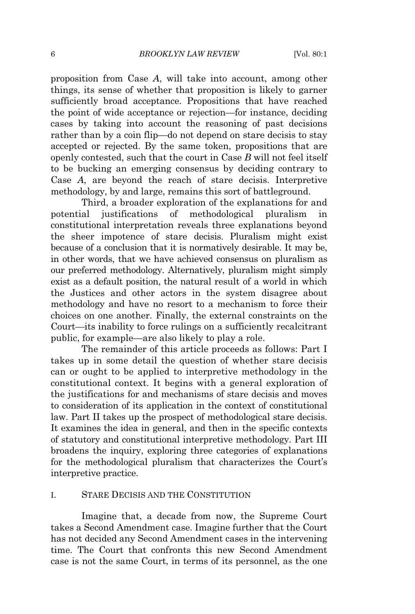#### 6 *BROOKLYN LAW REVIEW* [Vol. 80:1

proposition from Case *A*, will take into account, among other things, its sense of whether that proposition is likely to garner sufficiently broad acceptance. Propositions that have reached the point of wide acceptance or rejection—for instance, deciding cases by taking into account the reasoning of past decisions rather than by a coin flip—do not depend on stare decisis to stay accepted or rejected. By the same token, propositions that are openly contested, such that the court in Case *B* will not feel itself to be bucking an emerging consensus by deciding contrary to Case *A*, are beyond the reach of stare decisis. Interpretive methodology, by and large, remains this sort of battleground.

Third, a broader exploration of the explanations for and potential justifications of methodological pluralism in constitutional interpretation reveals three explanations beyond the sheer impotence of stare decisis. Pluralism might exist because of a conclusion that it is normatively desirable. It may be, in other words, that we have achieved consensus on pluralism as our preferred methodology. Alternatively, pluralism might simply exist as a default position, the natural result of a world in which the Justices and other actors in the system disagree about methodology and have no resort to a mechanism to force their choices on one another. Finally, the external constraints on the Court—its inability to force rulings on a sufficiently recalcitrant public, for example—are also likely to play a role.

The remainder of this article proceeds as follows: Part I takes up in some detail the question of whether stare decisis can or ought to be applied to interpretive methodology in the constitutional context. It begins with a general exploration of the justifications for and mechanisms of stare decisis and moves to consideration of its application in the context of constitutional law. Part II takes up the prospect of methodological stare decisis. It examines the idea in general, and then in the specific contexts of statutory and constitutional interpretive methodology. Part III broadens the inquiry, exploring three categories of explanations for the methodological pluralism that characterizes the Court's interpretive practice.

#### I. STARE DECISIS AND THE CONSTITUTION

Imagine that, a decade from now, the Supreme Court takes a Second Amendment case. Imagine further that the Court has not decided any Second Amendment cases in the intervening time. The Court that confronts this new Second Amendment case is not the same Court, in terms of its personnel, as the one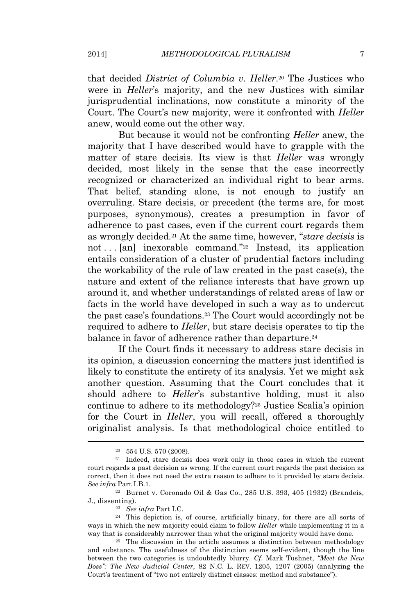that decided *District of Columbia v. Heller*. <sup>20</sup> The Justices who were in *Heller*'s majority, and the new Justices with similar jurisprudential inclinations, now constitute a minority of the Court. The Court's new majority, were it confronted with *Heller* anew, would come out the other way.

But because it would not be confronting *Heller* anew, the majority that I have described would have to grapple with the matter of stare decisis. Its view is that *Heller* was wrongly decided, most likely in the sense that the case incorrectly recognized or characterized an individual right to bear arms. That belief, standing alone, is not enough to justify an overruling. Stare decisis, or precedent (the terms are, for most purposes, synonymous), creates a presumption in favor of adherence to past cases, even if the current court regards them as wrongly decided.<sup>21</sup> At the same time, however, "*stare decisis* is not . . . [an] inexorable command." <sup>22</sup> Instead, its application entails consideration of a cluster of prudential factors including the workability of the rule of law created in the past case(s), the nature and extent of the reliance interests that have grown up around it, and whether understandings of related areas of law or facts in the world have developed in such a way as to undercut the past case's foundations.<sup>23</sup> The Court would accordingly not be required to adhere to *Heller*, but stare decisis operates to tip the balance in favor of adherence rather than departure.<sup>24</sup>

If the Court finds it necessary to address stare decisis in its opinion, a discussion concerning the matters just identified is likely to constitute the entirety of its analysis. Yet we might ask another question. Assuming that the Court concludes that it should adhere to *Heller*'s substantive holding, must it also continue to adhere to its methodology?<sup>25</sup> Justice Scalia's opinion for the Court in *Heller*, you will recall, offered a thoroughly originalist analysis. Is that methodological choice entitled to

<sup>20</sup> 554 U.S. 570 (2008).

<sup>21</sup> Indeed, stare decisis does work only in those cases in which the current court regards a past decision as wrong. If the current court regards the past decision as correct, then it does not need the extra reason to adhere to it provided by stare decisis. *See infra* Part I.B.1.

<sup>22</sup> Burnet v. Coronado Oil & Gas Co., 285 U.S. 393, 405 (1932) (Brandeis, J., dissenting).

<sup>23</sup> *See infra* Part I.C.

<sup>24</sup> This depiction is, of course, artificially binary, for there are all sorts of ways in which the new majority could claim to follow *Heller* while implementing it in a way that is considerably narrower than what the original majority would have done.

<sup>&</sup>lt;sup>25</sup> The discussion in the article assumes a distinction between methodology and substance. The usefulness of the distinction seems self-evident, though the line between the two categories is undoubtedly blurry. *Cf*. Mark Tushnet, *"Meet the New Boss": The New Judicial Center*, 82 N.C. L. REV. 1205, 1207 (2005) (analyzing the Court's treatment of "two not entirely distinct classes: method and substance").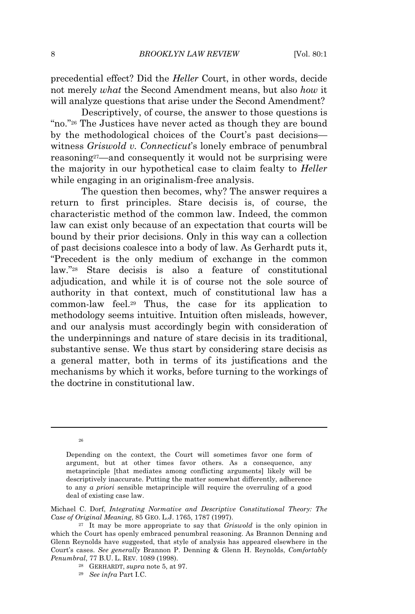precedential effect? Did the *Heller* Court, in other words, decide not merely *what* the Second Amendment means, but also *how* it will analyze questions that arise under the Second Amendment?

Descriptively, of course, the answer to those questions is "no." <sup>26</sup> The Justices have never acted as though they are bound by the methodological choices of the Court's past decisions witness *Griswold v. Connecticut*'s lonely embrace of penumbral reasoning27—and consequently it would not be surprising were the majority in our hypothetical case to claim fealty to *Heller* while engaging in an originalism-free analysis.

The question then becomes, why? The answer requires a return to first principles. Stare decisis is, of course, the characteristic method of the common law. Indeed, the common law can exist only because of an expectation that courts will be bound by their prior decisions. Only in this way can a collection of past decisions coalesce into a body of law. As Gerhardt puts it, "Precedent is the only medium of exchange in the common law." <sup>28</sup> Stare decisis is also a feature of constitutional adjudication, and while it is of course not the sole source of authority in that context, much of constitutional law has a common-law feel.<sup>29</sup> Thus, the case for its application to methodology seems intuitive. Intuition often misleads, however, and our analysis must accordingly begin with consideration of the underpinnings and nature of stare decisis in its traditional, substantive sense. We thus start by considering stare decisis as a general matter, both in terms of its justifications and the mechanisms by which it works, before turning to the workings of the doctrine in constitutional law.

26

Depending on the context, the Court will sometimes favor one form of argument, but at other times favor others. As a consequence, any metaprinciple [that mediates among conflicting arguments] likely will be descriptively inaccurate. Putting the matter somewhat differently, adherence to any *a priori* sensible metaprinciple will require the overruling of a good deal of existing case law.

Michael C. Dorf, *Integrating Normative and Descriptive Constitutional Theory: The Case of Original Meaning*, 85 GEO. L.J. 1765, 1787 (1997).

<sup>27</sup> It may be more appropriate to say that *Griswold* is the only opinion in which the Court has openly embraced penumbral reasoning. As Brannon Denning and Glenn Reynolds have suggested, that style of analysis has appeared elsewhere in the Court's cases. *See generally* Brannon P. Denning & Glenn H. Reynolds, *Comfortably Penumbral*, 77 B.U. L. REV. 1089 (1998).

<sup>28</sup> GERHARDT, *supra* note 5, at 97.

<sup>29</sup> *See infra* Part I.C.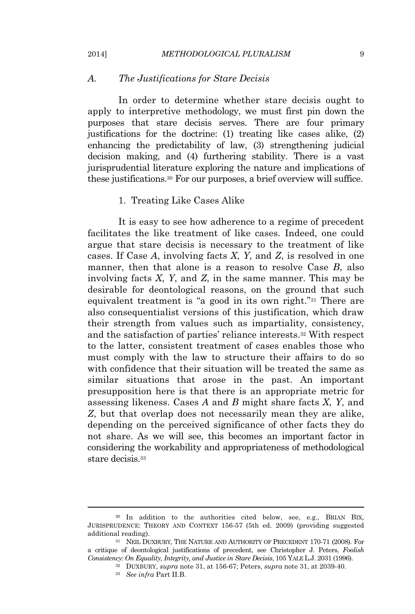### *A. The Justifications for Stare Decisis*

In order to determine whether stare decisis ought to apply to interpretive methodology, we must first pin down the purposes that stare decisis serves. There are four primary justifications for the doctrine: (1) treating like cases alike, (2) enhancing the predictability of law, (3) strengthening judicial decision making, and (4) furthering stability. There is a vast jurisprudential literature exploring the nature and implications of these justifications.<sup>30</sup> For our purposes, a brief overview will suffice.

# 1. Treating Like Cases Alike

It is easy to see how adherence to a regime of precedent facilitates the like treatment of like cases. Indeed, one could argue that stare decisis is necessary to the treatment of like cases. If Case *A*, involving facts *X*, *Y*, and *Z*, is resolved in one manner, then that alone is a reason to resolve Case *B*, also involving facts *X*, *Y*, and *Z*, in the same manner. This may be desirable for deontological reasons, on the ground that such equivalent treatment is "a good in its own right."<sup>31</sup> There are also consequentialist versions of this justification, which draw their strength from values such as impartiality, consistency, and the satisfaction of parties' reliance interests.<sup>32</sup> With respect to the latter, consistent treatment of cases enables those who must comply with the law to structure their affairs to do so with confidence that their situation will be treated the same as similar situations that arose in the past. An important presupposition here is that there is an appropriate metric for assessing likeness. Cases *A* and *B* might share facts *X*, *Y*, and *Z*, but that overlap does not necessarily mean they are alike, depending on the perceived significance of other facts they do not share. As we will see, this becomes an important factor in considering the workability and appropriateness of methodological stare decisis.<sup>33</sup>

<sup>30</sup> In addition to the authorities cited below, see, e.g., BRIAN BIX, JURISPRUDENCE: THEORY AND CONTEXT 156-57 (5th ed. 2009) (providing suggested additional reading).

<sup>&</sup>lt;sup>31</sup> NEIL DUXBURY, THE NATURE AND AUTHORITY OF PRECEDENT 170-71 (2008). For a critique of deontological justifications of precedent, see Christopher J. Peters, *Foolish Consistency: On Equality, Integrity, and Justice in Stare Decisis*, 105 YALE L.J. 2031 (1996).

<sup>32</sup> DUXBURY, *supra* note 31, at 156-67; Peters, *supra* note 31, at 2039-40.

<sup>33</sup> *See infra* Part II.B.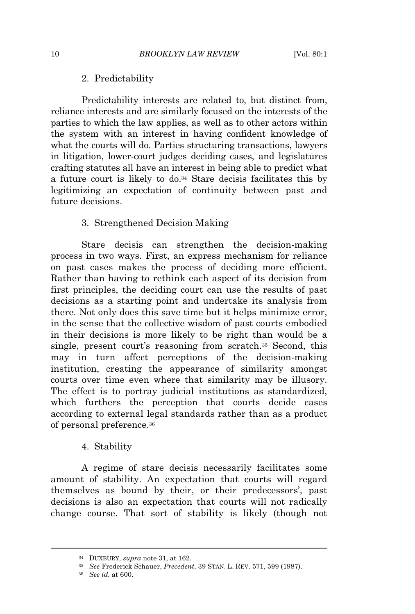#### 2. Predictability

Predictability interests are related to, but distinct from, reliance interests and are similarly focused on the interests of the parties to which the law applies, as well as to other actors within the system with an interest in having confident knowledge of what the courts will do. Parties structuring transactions, lawyers in litigation, lower-court judges deciding cases, and legislatures crafting statutes all have an interest in being able to predict what a future court is likely to do.<sup>34</sup> Stare decisis facilitates this by legitimizing an expectation of continuity between past and future decisions.

#### 3. Strengthened Decision Making

Stare decisis can strengthen the decision-making process in two ways. First, an express mechanism for reliance on past cases makes the process of deciding more efficient. Rather than having to rethink each aspect of its decision from first principles, the deciding court can use the results of past decisions as a starting point and undertake its analysis from there. Not only does this save time but it helps minimize error, in the sense that the collective wisdom of past courts embodied in their decisions is more likely to be right than would be a single, present court's reasoning from scratch.<sup>35</sup> Second, this may in turn affect perceptions of the decision-making institution, creating the appearance of similarity amongst courts over time even where that similarity may be illusory. The effect is to portray judicial institutions as standardized, which furthers the perception that courts decide cases according to external legal standards rather than as a product of personal preference.<sup>36</sup>

#### 4. Stability

A regime of stare decisis necessarily facilitates some amount of stability. An expectation that courts will regard themselves as bound by their, or their predecessors', past decisions is also an expectation that courts will not radically change course. That sort of stability is likely (though not

<sup>34</sup> DUXBURY, *supra* note 31, at 162.

<sup>35</sup> *See* Frederick Schauer, *Precedent*, 39 STAN. L. REV. 571, 599 (1987).

<sup>36</sup> *See id.* at 600.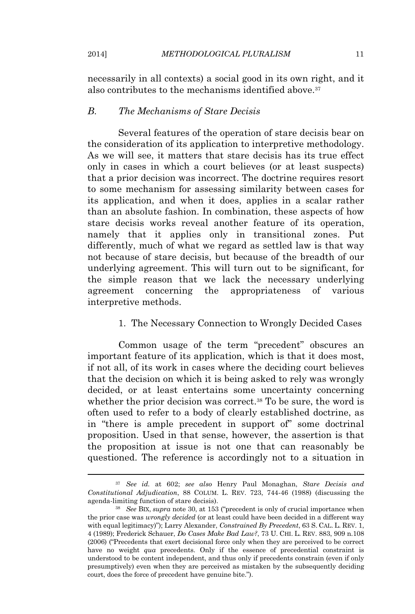necessarily in all contexts) a social good in its own right, and it also contributes to the mechanisms identified above.<sup>37</sup>

#### *B. The Mechanisms of Stare Decisis*

Several features of the operation of stare decisis bear on the consideration of its application to interpretive methodology. As we will see, it matters that stare decisis has its true effect only in cases in which a court believes (or at least suspects) that a prior decision was incorrect. The doctrine requires resort to some mechanism for assessing similarity between cases for its application, and when it does, applies in a scalar rather than an absolute fashion. In combination, these aspects of how stare decisis works reveal another feature of its operation, namely that it applies only in transitional zones. Put differently, much of what we regard as settled law is that way not because of stare decisis, but because of the breadth of our underlying agreement. This will turn out to be significant, for the simple reason that we lack the necessary underlying agreement concerning the appropriateness of various interpretive methods.

#### 1. The Necessary Connection to Wrongly Decided Cases

Common usage of the term "precedent" obscures an important feature of its application, which is that it does most, if not all, of its work in cases where the deciding court believes that the decision on which it is being asked to rely was wrongly decided, or at least entertains some uncertainty concerning whether the prior decision was correct.<sup>38</sup> To be sure, the word is often used to refer to a body of clearly established doctrine, as in "there is ample precedent in support of" some doctrinal proposition. Used in that sense, however, the assertion is that the proposition at issue is not one that can reasonably be questioned. The reference is accordingly not to a situation in

<sup>37</sup> *See id.* at 602; *see also* Henry Paul Monaghan, *Stare Decisis and Constitutional Adjudication*, 88 COLUM. L. REV. 723, 744-46 (1988) (discussing the agenda-limiting function of stare decisis).

<sup>38</sup> *See* BIX, *supra* note 30, at 153 ("precedent is only of crucial importance when the prior case was *wrongly decided* (or at least could have been decided in a different way with equal legitimacy)"); Larry Alexander, *Constrained By Precedent*, 63 S. CAL. L. REV. 1, 4 (1989); Frederick Schauer, *Do Cases Make Bad Law?*, 73 U. CHI. L. REV. 883, 909 n.108 (2006) ("Precedents that exert decisional force only when they are perceived to be correct have no weight *qua* precedents. Only if the essence of precedential constraint is understood to be content independent, and thus only if precedents constrain (even if only presumptively) even when they are perceived as mistaken by the subsequently deciding court, does the force of precedent have genuine bite.").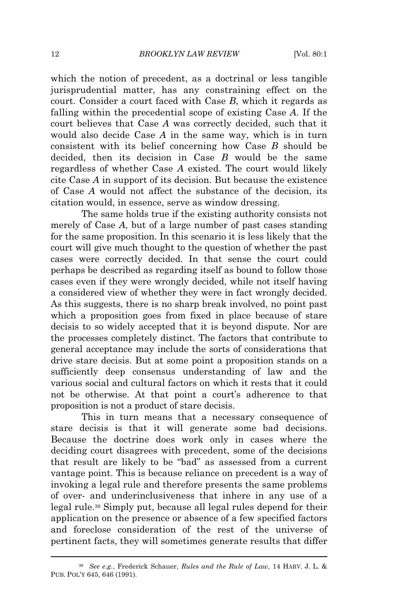which the notion of precedent, as a doctrinal or less tangible jurisprudential matter, has any constraining effect on the court. Consider a court faced with Case *B*, which it regards as falling within the precedential scope of existing Case *A*. If the court believes that Case *A* was correctly decided, such that it would also decide Case *A* in the same way, which is in turn consistent with its belief concerning how Case *B* should be decided, then its decision in Case *B* would be the same regardless of whether Case *A* existed. The court would likely cite Case *A* in support of its decision. But because the existence of Case *A* would not affect the substance of the decision, its citation would, in essence, serve as window dressing.

The same holds true if the existing authority consists not merely of Case *A*, but of a large number of past cases standing for the same proposition. In this scenario it is less likely that the court will give much thought to the question of whether the past cases were correctly decided. In that sense the court could perhaps be described as regarding itself as bound to follow those cases even if they were wrongly decided, while not itself having a considered view of whether they were in fact wrongly decided. As this suggests, there is no sharp break involved, no point past which a proposition goes from fixed in place because of stare decisis to so widely accepted that it is beyond dispute. Nor are the processes completely distinct. The factors that contribute to general acceptance may include the sorts of considerations that drive stare decisis. But at some point a proposition stands on a sufficiently deep consensus understanding of law and the various social and cultural factors on which it rests that it could not be otherwise. At that point a court's adherence to that proposition is not a product of stare decisis.

This in turn means that a necessary consequence of stare decisis is that it will generate some bad decisions. Because the doctrine does work only in cases where the deciding court disagrees with precedent, some of the decisions that result are likely to be "bad" as assessed from a current vantage point. This is because reliance on precedent is a way of invoking a legal rule and therefore presents the same problems of over- and underinclusiveness that inhere in any use of a legal rule.<sup>39</sup> Simply put, because all legal rules depend for their application on the presence or absence of a few specified factors and foreclose consideration of the rest of the universe of pertinent facts, they will sometimes generate results that differ

<sup>39</sup> *See e.g.*, Frederick Schauer, *Rules and the Rule of Law*, 14 HARV. J. L. & PUB. POL'<sup>Y</sup> 645, 646 (1991).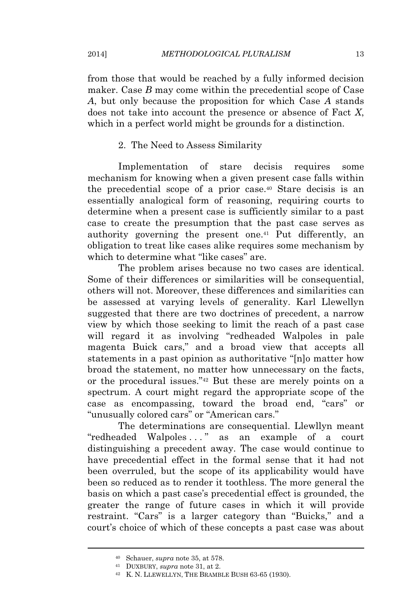from those that would be reached by a fully informed decision maker. Case *B* may come within the precedential scope of Case *A*, but only because the proposition for which Case *A* stands does not take into account the presence or absence of Fact *X*, which in a perfect world might be grounds for a distinction.

# 2. The Need to Assess Similarity

Implementation of stare decisis requires some mechanism for knowing when a given present case falls within the precedential scope of a prior case.<sup>40</sup> Stare decisis is an essentially analogical form of reasoning, requiring courts to determine when a present case is sufficiently similar to a past case to create the presumption that the past case serves as authority governing the present one.<sup>41</sup> Put differently, an obligation to treat like cases alike requires some mechanism by which to determine what "like cases" are.

The problem arises because no two cases are identical. Some of their differences or similarities will be consequential, others will not. Moreover, these differences and similarities can be assessed at varying levels of generality. Karl Llewellyn suggested that there are two doctrines of precedent, a narrow view by which those seeking to limit the reach of a past case will regard it as involving "redheaded Walpoles in pale magenta Buick cars," and a broad view that accepts all statements in a past opinion as authoritative "[n]o matter how broad the statement, no matter how unnecessary on the facts, or the procedural issues." <sup>42</sup> But these are merely points on a spectrum. A court might regard the appropriate scope of the case as encompassing, toward the broad end, "cars" or "unusually colored cars" or "American cars."

The determinations are consequential. Llewllyn meant "redheaded Walpoles . . . " as an example of a court distinguishing a precedent away. The case would continue to have precedential effect in the formal sense that it had not been overruled, but the scope of its applicability would have been so reduced as to render it toothless. The more general the basis on which a past case's precedential effect is grounded, the greater the range of future cases in which it will provide restraint. "Cars" is a larger category than "Buicks," and a court's choice of which of these concepts a past case was about

<sup>40</sup> Schauer, *supra* note 35, at 578.

<sup>41</sup> DUXBURY, *supra* note 31, at 2.

<sup>42</sup> K. N. LLEWELLYN, THE BRAMBLE BUSH 63-65 (1930).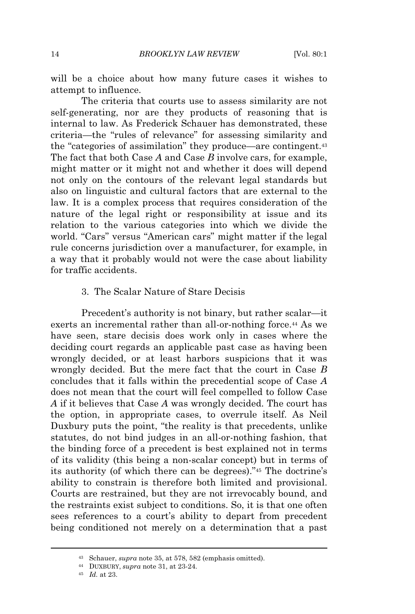will be a choice about how many future cases it wishes to attempt to influence.

The criteria that courts use to assess similarity are not self-generating, nor are they products of reasoning that is internal to law. As Frederick Schauer has demonstrated, these criteria—the "rules of relevance" for assessing similarity and the "categories of assimilation" they produce—are contingent.<sup>43</sup> The fact that both Case *A* and Case *B* involve cars, for example, might matter or it might not and whether it does will depend not only on the contours of the relevant legal standards but also on linguistic and cultural factors that are external to the law. It is a complex process that requires consideration of the nature of the legal right or responsibility at issue and its relation to the various categories into which we divide the world. "Cars" versus "American cars" might matter if the legal rule concerns jurisdiction over a manufacturer, for example, in a way that it probably would not were the case about liability for traffic accidents.

### 3. The Scalar Nature of Stare Decisis

Precedent's authority is not binary, but rather scalar—it exerts an incremental rather than all-or-nothing force.<sup>44</sup> As we have seen, stare decisis does work only in cases where the deciding court regards an applicable past case as having been wrongly decided, or at least harbors suspicions that it was wrongly decided. But the mere fact that the court in Case *B* concludes that it falls within the precedential scope of Case *A* does not mean that the court will feel compelled to follow Case *A* if it believes that Case *A* was wrongly decided. The court has the option, in appropriate cases, to overrule itself. As Neil Duxbury puts the point, "the reality is that precedents, unlike statutes, do not bind judges in an all-or-nothing fashion, that the binding force of a precedent is best explained not in terms of its validity (this being a non-scalar concept) but in terms of its authority (of which there can be degrees)." <sup>45</sup> The doctrine's ability to constrain is therefore both limited and provisional. Courts are restrained, but they are not irrevocably bound, and the restraints exist subject to conditions. So, it is that one often sees references to a court's ability to depart from precedent being conditioned not merely on a determination that a past

<sup>43</sup> Schauer, *supra* note 35, at 578, 582 (emphasis omitted).

<sup>44</sup> DUXBURY, *supra* note 31, at 23-24.

<sup>45</sup> *Id.* at 23.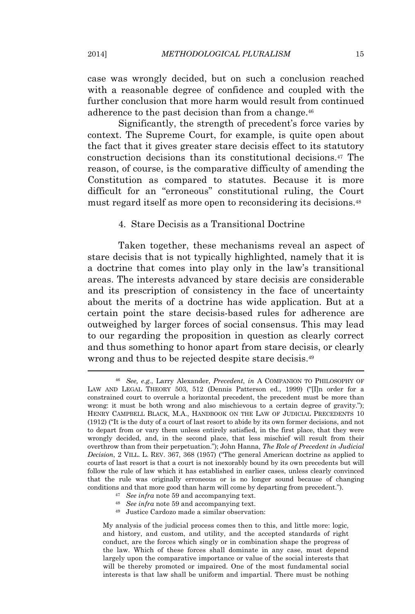case was wrongly decided, but on such a conclusion reached with a reasonable degree of confidence and coupled with the further conclusion that more harm would result from continued adherence to the past decision than from a change.<sup>46</sup>

Significantly, the strength of precedent's force varies by context. The Supreme Court, for example, is quite open about the fact that it gives greater stare decisis effect to its statutory construction decisions than its constitutional decisions.<sup>47</sup> The reason, of course, is the comparative difficulty of amending the Constitution as compared to statutes. Because it is more difficult for an "erroneous" constitutional ruling, the Court must regard itself as more open to reconsidering its decisions.<sup>48</sup>

#### 4. Stare Decisis as a Transitional Doctrine

Taken together, these mechanisms reveal an aspect of stare decisis that is not typically highlighted, namely that it is a doctrine that comes into play only in the law's transitional areas. The interests advanced by stare decisis are considerable and its prescription of consistency in the face of uncertainty about the merits of a doctrine has wide application. But at a certain point the stare decisis-based rules for adherence are outweighed by larger forces of social consensus. This may lead to our regarding the proposition in question as clearly correct and thus something to honor apart from stare decisis, or clearly wrong and thus to be rejected despite stare decisis.<sup>49</sup>

- <sup>47</sup> *See infra* note 59 and accompanying text.
- <sup>48</sup> *See infra* note 59 and accompanying text.
- <sup>49</sup> Justice Cardozo made a similar observation:

<sup>46</sup> *See, e.g.*, Larry Alexander, *Precedent*, *in* A COMPANION TO PHILOSOPHY OF LAW AND LEGAL THEORY 503, 512 (Dennis Patterson ed., 1999) ("Iln order for a constrained court to overrule a horizontal precedent, the precedent must be more than wrong: it must be both wrong and also mischievous to a certain degree of gravity."); HENRY CAMPBELL BLACK, M.A., HANDBOOK ON THE LAW OF JUDICIAL PRECEDENTS 10 (1912) ("It is the duty of a court of last resort to abide by its own former decisions, and not to depart from or vary them unless entirely satisfied, in the first place, that they were wrongly decided, and, in the second place, that less mischief will result from their overthrow than from their perpetuation."); John Hanna, *The Role of Precedent in Judicial Decision*, 2 VILL. L. REV. 367, 368 (1957) ("The general American doctrine as applied to courts of last resort is that a court is not inexorably bound by its own precedents but will follow the rule of law which it has established in earlier cases, unless clearly convinced that the rule was originally erroneous or is no longer sound because of changing conditions and that more good than harm will come by departing from precedent.").

My analysis of the judicial process comes then to this, and little more: logic, and history, and custom, and utility, and the accepted standards of right conduct, are the forces which singly or in combination shape the progress of the law. Which of these forces shall dominate in any case, must depend largely upon the comparative importance or value of the social interests that will be thereby promoted or impaired. One of the most fundamental social interests is that law shall be uniform and impartial. There must be nothing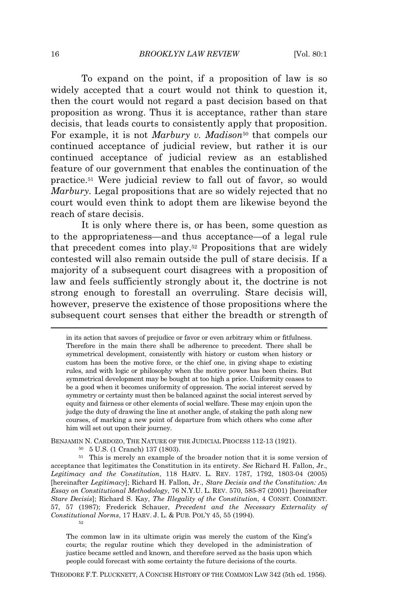To expand on the point, if a proposition of law is so widely accepted that a court would not think to question it, then the court would not regard a past decision based on that proposition as wrong. Thus it is acceptance, rather than stare decisis, that leads courts to consistently apply that proposition. For example, it is not *Marbury v. Madison*<sup>50</sup> that compels our continued acceptance of judicial review, but rather it is our continued acceptance of judicial review as an established feature of our government that enables the continuation of the practice.<sup>51</sup> Were judicial review to fall out of favor, so would *Marbury.* Legal propositions that are so widely rejected that no court would even think to adopt them are likewise beyond the reach of stare decisis.

It is only where there is, or has been, some question as to the appropriateness—and thus acceptance—of a legal rule that precedent comes into play.<sup>52</sup> Propositions that are widely contested will also remain outside the pull of stare decisis. If a majority of a subsequent court disagrees with a proposition of law and feels sufficiently strongly about it, the doctrine is not strong enough to forestall an overruling. Stare decisis will, however, preserve the existence of those propositions where the subsequent court senses that either the breadth or strength of

BENJAMIN N. CARDOZO, THE NATURE OF THE JUDICIAL PROCESS 112-13 (1921).

52

The common law in its ultimate origin was merely the custom of the King's courts; the regular routine which they developed in the administration of justice became settled and known, and therefore served as the basis upon which people could forecast with some certainty the future decisions of the courts.

THEODORE F.T. PLUCKNETT, A CONCISE HISTORY OF THE COMMON LAW 342 (5th ed. 1956).

in its action that savors of prejudice or favor or even arbitrary whim or fitfulness. Therefore in the main there shall be adherence to precedent. There shall be symmetrical development, consistently with history or custom when history or custom has been the motive force, or the chief one, in giving shape to existing rules, and with logic or philosophy when the motive power has been theirs. But symmetrical development may be bought at too high a price. Uniformity ceases to be a good when it becomes uniformity of oppression. The social interest served by symmetry or certainty must then be balanced against the social interest served by equity and fairness or other elements of social welfare. These may enjoin upon the judge the duty of drawing the line at another angle, of staking the path along new courses, of marking a new point of departure from which others who come after him will set out upon their journey.

<sup>50</sup> 5 U.S. (1 Cranch) 137 (1803).

<sup>51</sup> This is merely an example of the broader notion that it is some version of acceptance that legitimates the Constitution in its entirety. *See* Richard H. Fallon, Jr., *Legitimacy and the Constitution*, 118 HARV. L. REV. 1787, 1792, 1803-04 (2005) [hereinafter *Legitimacy*]; Richard H. Fallon, Jr., *Stare Decisis and the Constitution: An Essay on Constitutional Methodology*, 76 N.Y.U. L. REV. 570, 585-87 (2001) [hereinafter *Stare Decisis*]; Richard S. Kay, *The Illegality of the Constitution*, 4 CONST. COMMENT. 57, 57 (1987); Frederick Schauer, *Precedent and the Necessary Externality of Constitutional Norms*, 17 HARV. J. L. & PUB. POL'<sup>Y</sup> 45, 55 (1994).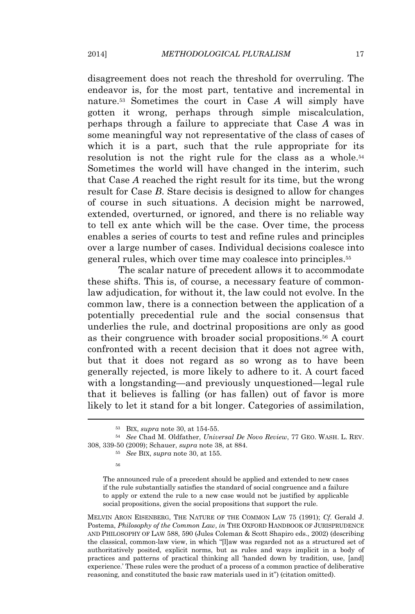disagreement does not reach the threshold for overruling. The endeavor is, for the most part, tentative and incremental in nature.<sup>53</sup> Sometimes the court in Case *A* will simply have gotten it wrong, perhaps through simple miscalculation, perhaps through a failure to appreciate that Case *A* was in some meaningful way not representative of the class of cases of which it is a part, such that the rule appropriate for its resolution is not the right rule for the class as a whole.<sup>54</sup> Sometimes the world will have changed in the interim, such that Case *A* reached the right result for its time, but the wrong result for Case *B*. Stare decisis is designed to allow for changes of course in such situations. A decision might be narrowed, extended, overturned, or ignored, and there is no reliable way to tell ex ante which will be the case. Over time, the process enables a series of courts to test and refine rules and principles over a large number of cases. Individual decisions coalesce into general rules, which over time may coalesce into principles.<sup>55</sup>

The scalar nature of precedent allows it to accommodate these shifts. This is, of course, a necessary feature of commonlaw adjudication, for without it, the law could not evolve. In the common law, there is a connection between the application of a potentially precedential rule and the social consensus that underlies the rule, and doctrinal propositions are only as good as their congruence with broader social propositions.<sup>56</sup> A court confronted with a recent decision that it does not agree with, but that it does not regard as so wrong as to have been generally rejected, is more likely to adhere to it. A court faced with a longstanding—and previously unquestioned—legal rule that it believes is falling (or has fallen) out of favor is more likely to let it stand for a bit longer. Categories of assimilation,

MELVIN ARON EISENBERG, THE NATURE OF THE COMMON LAW 75 (1991); *Cf*. Gerald J. Postema, *Philosophy of the Common Law*, *in* THE OXFORD HANDBOOK OF JURISPRUDENCE AND PHILOSOPHY OF LAW 588, 590 (Jules Coleman & Scott Shapiro eds., 2002) (describing the classical, common-law view, in which "[l]aw was regarded not as a structured set of authoritatively posited, explicit norms, but as rules and ways implicit in a body of practices and patterns of practical thinking all 'handed down by tradition, use, [and] experience.' These rules were the product of a process of a common practice of deliberative reasoning, and constituted the basic raw materials used in it") (citation omitted).

<sup>53</sup> BIX, *supra* note 30, at 154-55.

<sup>54</sup> *See* Chad M. Oldfather, *Universal De Novo Review*, 77 GEO. WASH. L. REV. 308, 339-50 (2009); Schauer, *supra* note 38, at 884.

<sup>55</sup> *See* BIX, *supra* note 30, at 155.

<sup>56</sup>

The announced rule of a precedent should be applied and extended to new cases if the rule substantially satisfies the standard of social congruence and a failure to apply or extend the rule to a new case would not be justified by applicable social propositions, given the social propositions that support the rule.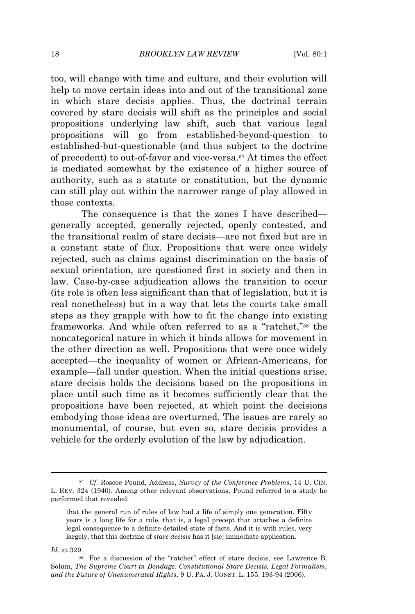too, will change with time and culture, and their evolution will help to move certain ideas into and out of the transitional zone in which stare decisis applies. Thus, the doctrinal terrain covered by stare decisis will shift as the principles and social propositions underlying law shift, such that various legal propositions will go from established-beyond-question to established-but-questionable (and thus subject to the doctrine of precedent) to out-of-favor and vice-versa.<sup>57</sup> At times the effect is mediated somewhat by the existence of a higher source of authority, such as a statute or constitution, but the dynamic can still play out within the narrower range of play allowed in those contexts.

The consequence is that the zones I have described generally accepted, generally rejected, openly contested, and the transitional realm of stare decisis—are not fixed but are in a constant state of flux. Propositions that were once widely rejected, such as claims against discrimination on the basis of sexual orientation, are questioned first in society and then in law. Case-by-case adjudication allows the transition to occur (its role is often less significant than that of legislation, but it is real nonetheless) but in a way that lets the courts take small steps as they grapple with how to fit the change into existing frameworks. And while often referred to as a "ratchet," <sup>58</sup> the noncategorical nature in which it binds allows for movement in the other direction as well. Propositions that were once widely accepted—the inequality of women or African-Americans, for example—fall under question. When the initial questions arise, stare decisis holds the decisions based on the propositions in place until such time as it becomes sufficiently clear that the propositions have been rejected, at which point the decisions embodying those ideas are overturned. The issues are rarely so monumental, of course, but even so, stare decisis provides a vehicle for the orderly evolution of the law by adjudication.

<sup>57</sup> *Cf.* Roscoe Pound, Address, *Survey of the Conference Problems*, 14 U. CIN. L. REV. 324 (1940). Among other relevant observations, Pound referred to a study he performed that revealed:

that the general run of rules of law had a life of simply one generation. Fifty years is a long life for a rule, that is, a legal precept that attaches a definite legal consequence to a definite detailed state of facts. And it is with rules, very largely, that this doctrine of *stare decisis* has it [sic] immediate application.

*Id.* at 329.

<sup>58</sup> For a discussion of the "ratchet" effect of stare decisis, see Lawrence B. Solum, *The Supreme Court in Bondage: Constitutional Stare Decisis, Legal Formalism, and the Future of Unenumerated Rights*, 9 U. PA. J. CONST. L. 155, 193-94 (2006).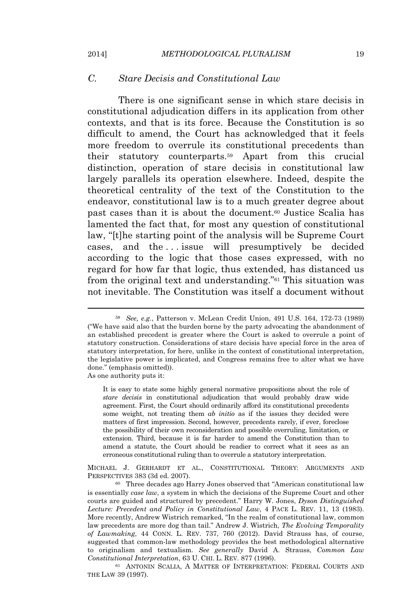#### *C. Stare Decisis and Constitutional Law*

There is one significant sense in which stare decisis in constitutional adjudication differs in its application from other contexts, and that is its force. Because the Constitution is so difficult to amend, the Court has acknowledged that it feels more freedom to overrule its constitutional precedents than their statutory counterparts.<sup>59</sup> Apart from this crucial distinction, operation of stare decisis in constitutional law largely parallels its operation elsewhere. Indeed, despite the theoretical centrality of the text of the Constitution to the endeavor, constitutional law is to a much greater degree about past cases than it is about the document.<sup>60</sup> Justice Scalia has lamented the fact that, for most any question of constitutional law, "[t]he starting point of the analysis will be Supreme Court cases, and the . . . issue will presumptively be decided according to the logic that those cases expressed, with no regard for how far that logic, thus extended, has distanced us from the original text and understanding."<sup>61</sup> This situation was not inevitable. The Constitution was itself a document without

MICHAEL J. GERHARDT ET AL., CONSTITUTIONAL THEORY: ARGUMENTS AND PERSPECTIVES 383 (3d ed. 2007).

<sup>59</sup> *See, e.g.*, Patterson v. McLean Credit Union, 491 U.S. 164, 172-73 (1989) ("We have said also that the burden borne by the party advocating the abandonment of an established precedent is greater where the Court is asked to overrule a point of statutory construction. Considerations of stare decisis have special force in the area of statutory interpretation, for here, unlike in the context of constitutional interpretation, the legislative power is implicated, and Congress remains free to alter what we have done." (emphasis omitted)). As one authority puts it:

It is easy to state some highly general normative propositions about the role of *stare decisis* in constitutional adjudication that would probably draw wide agreement. First, the Court should ordinarily afford its constitutional precedents some weight, not treating them *ab initio* as if the issues they decided were matters of first impression. Second, however, precedents rarely, if ever, foreclose the possibility of their own reconsideration and possible overruling, limitation, or extension. Third, because it is far harder to amend the Constitution than to amend a statute, the Court should be readier to correct what it sees as an erroneous constitutional ruling than to overrule a statutory interpretation.

<sup>60</sup> Three decades ago Harry Jones observed that "American constitutional law is essentially *case law*, a system in which the decisions of the Supreme Court and other courts are guided and structured by precedent." Harry W. Jones, *Dyson Distinguished Lecture: Precedent and Policy in Constitutional Law*, 4 PACE L. REV. 11, 13 (1983). More recently, Andrew Wistrich remarked, "In the realm of constitutional law, common law precedents are more dog than tail." Andrew J. Wistrich, *The Evolving Temporality of Lawmaking*, 44 CONN. L. REV. 737, 760 (2012). David Strauss has, of course, suggested that common-law methodology provides the best methodological alternative to originalism and textualism. *See generally* David A. Strauss, *Common Law Constitutional Interpretation*, 63 U. CHI. L. REV. 877 (1996).

<sup>61</sup> ANTONIN SCALIA, A MATTER OF INTERPRETATION: FEDERAL COURTS AND THE LAW 39 (1997).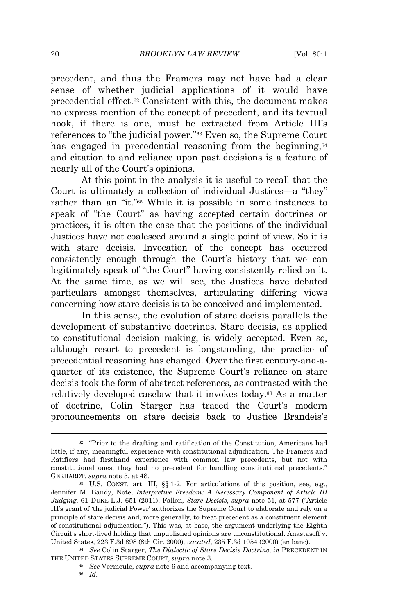precedent, and thus the Framers may not have had a clear sense of whether judicial applications of it would have precedential effect.<sup>62</sup> Consistent with this, the document makes no express mention of the concept of precedent, and its textual hook, if there is one, must be extracted from Article III's references to "the judicial power." <sup>63</sup> Even so, the Supreme Court has engaged in precedential reasoning from the beginning,<sup>64</sup> and citation to and reliance upon past decisions is a feature of nearly all of the Court's opinions.

At this point in the analysis it is useful to recall that the Court is ultimately a collection of individual Justices—a "they" rather than an "it."<sup>65</sup> While it is possible in some instances to speak of "the Court" as having accepted certain doctrines or practices, it is often the case that the positions of the individual Justices have not coalesced around a single point of view. So it is with stare decisis. Invocation of the concept has occurred consistently enough through the Court's history that we can legitimately speak of "the Court" having consistently relied on it. At the same time, as we will see, the Justices have debated particulars amongst themselves, articulating differing views concerning how stare decisis is to be conceived and implemented.

In this sense, the evolution of stare decisis parallels the development of substantive doctrines. Stare decisis, as applied to constitutional decision making, is widely accepted. Even so, although resort to precedent is longstanding, the practice of precedential reasoning has changed. Over the first century-and-aquarter of its existence, the Supreme Court's reliance on stare decisis took the form of abstract references, as contrasted with the relatively developed caselaw that it invokes today.<sup>66</sup> As a matter of doctrine, Colin Starger has traced the Court's modern pronouncements on stare decisis back to Justice Brandeis's

 $62$  "Prior to the drafting and ratification of the Constitution, Americans had little, if any, meaningful experience with constitutional adjudication. The Framers and Ratifiers had firsthand experience with common law precedents, but not with constitutional ones; they had no precedent for handling constitutional precedents." GERHARDT, *supra* note 5, at 48.

<sup>63</sup> U.S. CONST. art. III, §§ 1-2. For articulations of this position, see, e.g., Jennifer M. Bandy, Note, *Interpretive Freedom: A Necessary Component of Article III Judging*, 61 DUKE L.J. 651 (2011); Fallon, *Stare Decisis*, *supra* note 51, at 577 ("Article III's grant of 'the judicial Power' authorizes the Supreme Court to elaborate and rely on a principle of stare decisis and, more generally, to treat precedent as a constituent element of constitutional adjudication."). This was, at base, the argument underlying the Eighth Circuit's short-lived holding that unpublished opinions are unconstitutional. Anastasoff v. United States, 223 F.3d 898 (8th Cir. 2000), *vacated*, 235 F.3d 1054 (2000) (en banc).

<sup>64</sup> *See* Colin Starger, *The Dialectic of Stare Decisis Doctrine*, *in* PRECEDENT IN THE UNITED STATES SUPREME COURT, *supra* note 3.

<sup>65</sup> *See* Vermeule, *supra* note 6 and accompanying text.

<sup>66</sup> *Id.*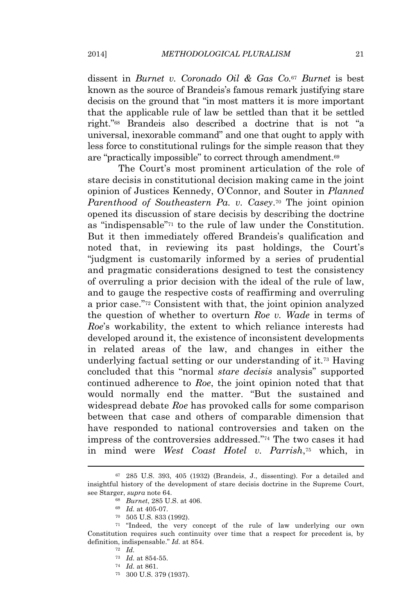dissent in *Burnet v. Coronado Oil & Gas Co.*<sup>67</sup> *Burnet* is best known as the source of Brandeis's famous remark justifying stare decisis on the ground that "in most matters it is more important that the applicable rule of law be settled than that it be settled right." <sup>68</sup> Brandeis also described a doctrine that is not "a universal, inexorable command" and one that ought to apply with less force to constitutional rulings for the simple reason that they are "practically impossible" to correct through amendment.<sup>69</sup>

The Court's most prominent articulation of the role of stare decisis in constitutional decision making came in the joint opinion of Justices Kennedy, O'Connor, and Souter in *Planned Parenthood of Southeastern Pa. v. Casey*. <sup>70</sup> The joint opinion opened its discussion of stare decisis by describing the doctrine as "indispensable" <sup>71</sup> to the rule of law under the Constitution. But it then immediately offered Brandeis's qualification and noted that, in reviewing its past holdings, the Court's "judgment is customarily informed by a series of prudential and pragmatic considerations designed to test the consistency of overruling a prior decision with the ideal of the rule of law, and to gauge the respective costs of reaffirming and overruling a prior case." <sup>72</sup> Consistent with that, the joint opinion analyzed the question of whether to overturn *Roe v. Wade* in terms of *Roe*'s workability, the extent to which reliance interests had developed around it, the existence of inconsistent developments in related areas of the law, and changes in either the underlying factual setting or our understanding of it.<sup>73</sup> Having concluded that this "normal *stare decisis* analysis" supported continued adherence to *Roe*, the joint opinion noted that that would normally end the matter. "But the sustained and widespread debate *Roe* has provoked calls for some comparison between that case and others of comparable dimension that have responded to national controversies and taken on the impress of the controversies addressed." <sup>74</sup> The two cases it had in mind were *West Coast Hotel v. Parrish*, <sup>75</sup> which, in

<sup>67</sup> 285 U.S. 393, 405 (1932) (Brandeis, J., dissenting). For a detailed and insightful history of the development of stare decisis doctrine in the Supreme Court, see Starger, *supra* note 64.

<sup>68</sup> *Burnet*, 285 U.S. at 406.

<sup>69</sup> *Id.* at 405-07.

<sup>70</sup> 505 U.S. 833 (1992).

<sup>71</sup> "Indeed, the very concept of the rule of law underlying our own Constitution requires such continuity over time that a respect for precedent is, by definition, indispensable." *Id.* at 854.

<sup>72</sup> *Id.*

<sup>73</sup> *Id.* at 854-55.

<sup>74</sup> *Id.* at 861.

<sup>75</sup> 300 U.S. 379 (1937).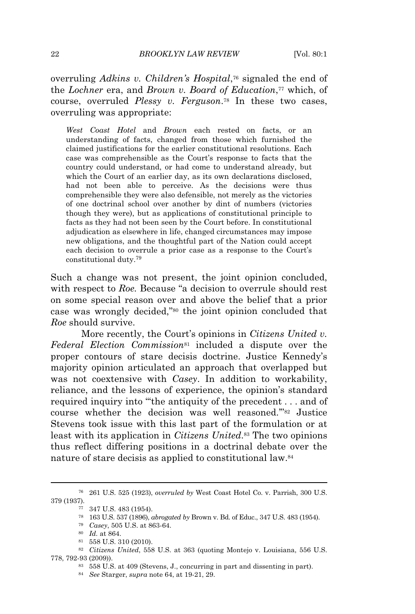overruling *Adkins v. Children's Hospital*, <sup>76</sup> signaled the end of the *Lochner* era, and *Brown v. Board of Education*, <sup>77</sup> which, of course, overruled *Plessy v. Ferguson*. <sup>78</sup> In these two cases, overruling was appropriate:

*West Coast Hotel* and *Brown* each rested on facts, or an understanding of facts, changed from those which furnished the claimed justifications for the earlier constitutional resolutions. Each case was comprehensible as the Court's response to facts that the country could understand, or had come to understand already, but which the Court of an earlier day, as its own declarations disclosed, had not been able to perceive. As the decisions were thus comprehensible they were also defensible, not merely as the victories of one doctrinal school over another by dint of numbers (victories though they were), but as applications of constitutional principle to facts as they had not been seen by the Court before. In constitutional adjudication as elsewhere in life, changed circumstances may impose new obligations, and the thoughtful part of the Nation could accept each decision to overrule a prior case as a response to the Court's constitutional duty.<sup>79</sup>

Such a change was not present, the joint opinion concluded, with respect to *Roe*. Because "a decision to overrule should rest on some special reason over and above the belief that a prior case was wrongly decided," <sup>80</sup> the joint opinion concluded that *Roe* should survive.

More recently, the Court's opinions in *Citizens United v. Federal Election Commission*<sup>81</sup> included a dispute over the proper contours of stare decisis doctrine. Justice Kennedy's majority opinion articulated an approach that overlapped but was not coextensive with *Casey*. In addition to workability, reliance, and the lessons of experience, the opinion's standard required inquiry into "the antiquity of the precedent . . . and of course whether the decision was well reasoned.'" <sup>82</sup> Justice Stevens took issue with this last part of the formulation or at least with its application in *Citizens United*. <sup>83</sup> The two opinions thus reflect differing positions in a doctrinal debate over the nature of stare decisis as applied to constitutional law.<sup>84</sup>

<sup>76</sup> 261 U.S. 525 (1923), *overruled by* West Coast Hotel Co. v. Parrish, 300 U.S. 379 (1937).

<sup>77</sup> 347 U.S. 483 (1954).

<sup>78</sup> 163 U.S. 537 (1896), *abrogated by* Brown v. Bd. of Educ., 347 U.S. 483 (1954).

<sup>79</sup> *Casey*, 505 U.S. at 863-64.

<sup>80</sup> *Id.* at 864.

<sup>81</sup> 558 U.S. 310 (2010).

<sup>82</sup> *Citizens United*, 558 U.S. at 363 (quoting Montejo v. Louisiana, 556 U.S. 778, 792-93 (2009)).

<sup>83</sup> 558 U.S. at 409 (Stevens, J., concurring in part and dissenting in part).

<sup>84</sup> *See* Starger, *supra* note 64, at 19-21, 29.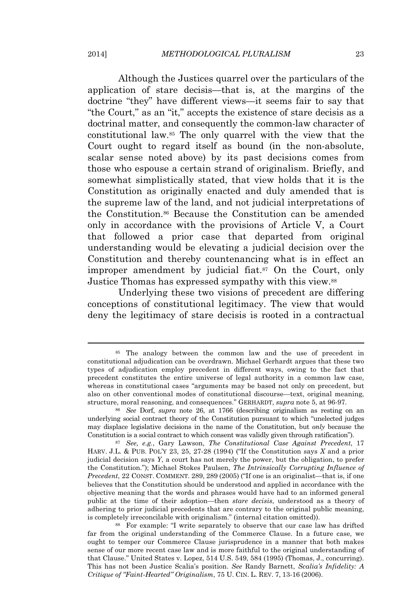Although the Justices quarrel over the particulars of the application of stare decisis—that is, at the margins of the doctrine "they" have different views—it seems fair to say that "the Court," as an "it," accepts the existence of stare decisis as a doctrinal matter, and consequently the common-law character of constitutional law.<sup>85</sup> The only quarrel with the view that the Court ought to regard itself as bound (in the non-absolute, scalar sense noted above) by its past decisions comes from those who espouse a certain strand of originalism. Briefly, and somewhat simplistically stated, that view holds that it is the Constitution as originally enacted and duly amended that is the supreme law of the land, and not judicial interpretations of the Constitution.<sup>86</sup> Because the Constitution can be amended only in accordance with the provisions of Article V, a Court that followed a prior case that departed from original understanding would be elevating a judicial decision over the Constitution and thereby countenancing what is in effect an improper amendment by judicial fiat.<sup>87</sup> On the Court, only Justice Thomas has expressed sympathy with this view.<sup>88</sup>

Underlying these two visions of precedent are differing conceptions of constitutional legitimacy. The view that would deny the legitimacy of stare decisis is rooted in a contractual

<sup>85</sup> The analogy between the common law and the use of precedent in constitutional adjudication can be overdrawn. Michael Gerhardt argues that these two types of adjudication employ precedent in different ways, owing to the fact that precedent constitutes the entire universe of legal authority in a common law case, whereas in constitutional cases "arguments may be based not only on precedent, but also on other conventional modes of constitutional discourse—text, original meaning, structure, moral reasoning, and consequences." GERHARDT, *supra* note 5, at 96-97.

<sup>86</sup> *See* Dorf, *supra* note 26, at 1766 (describing originalism as resting on an underlying social contract theory of the Constitution pursuant to which "unelected judges may displace legislative decisions in the name of the Constitution, but *only* because the Constitution is a social contract to which consent was validly given through ratification").

<sup>87</sup> *See, e.g.*, Gary Lawson, *The Constitutional Case Against Precedent*, 17 HARV. J.L. & PUB. POL'<sup>Y</sup> 23, 25, 27-28 (1994) ("If the Constitution says *X* and a prior judicial decision says *Y*, a court has not merely the power, but the obligation, to prefer the Constitution."); Michael Stokes Paulsen, *The Intrinsically Corrupting Influence of Precedent*, 22 CONST. COMMENT. 289, 289 (2005) ("If one is an originalist—that is, if one believes that the Constitution should be understood and applied in accordance with the objective meaning that the words and phrases would have had to an informed general public at the time of their adoption—then *stare decisis*, understood as a theory of adhering to prior judicial precedents that are contrary to the original public meaning, is completely irreconcilable with originalism." (internal citation omitted)).

<sup>88</sup> For example: "I write separately to observe that our case law has drifted far from the original understanding of the Commerce Clause. In a future case, we ought to temper our Commerce Clause jurisprudence in a manner that both makes sense of our more recent case law and is more faithful to the original understanding of that Clause." United States v. Lopez, 514 U.S. 549, 584 (1995) (Thomas, J., concurring). This has not been Justice Scalia's position. *See* Randy Barnett, *Scalia's Infidelity: A Critique of "Faint-Hearted" Originalism*, 75 U. CIN. L. REV. 7, 13-16 (2006).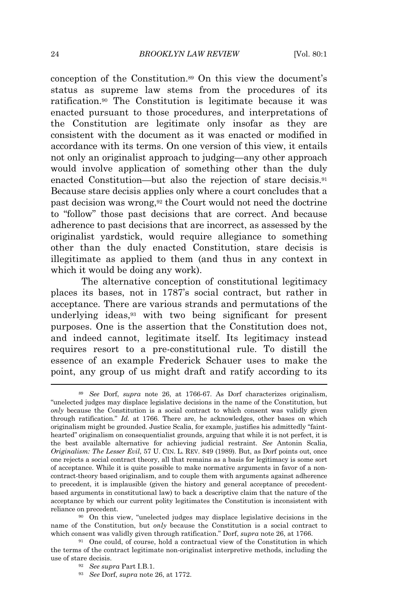conception of the Constitution.<sup>89</sup> On this view the document's status as supreme law stems from the procedures of its ratification.<sup>90</sup> The Constitution is legitimate because it was enacted pursuant to those procedures, and interpretations of the Constitution are legitimate only insofar as they are consistent with the document as it was enacted or modified in accordance with its terms. On one version of this view, it entails not only an originalist approach to judging—any other approach would involve application of something other than the duly enacted Constitution—but also the rejection of stare decisis.<sup>91</sup> Because stare decisis applies only where a court concludes that a past decision was wrong,<sup>92</sup> the Court would not need the doctrine to "follow" those past decisions that are correct. And because adherence to past decisions that are incorrect, as assessed by the originalist yardstick, would require allegiance to something other than the duly enacted Constitution, stare decisis is illegitimate as applied to them (and thus in any context in which it would be doing any work).

The alternative conception of constitutional legitimacy places its bases, not in 1787's social contract, but rather in acceptance. There are various strands and permutations of the underlying ideas,<sup>93</sup> with two being significant for present purposes. One is the assertion that the Constitution does not, and indeed cannot, legitimate itself. Its legitimacy instead requires resort to a pre-constitutional rule. To distill the essence of an example Frederick Schauer uses to make the point, any group of us might draft and ratify according to its

<sup>89</sup> *See* Dorf, *supra* note 26, at 1766-67. As Dorf characterizes originalism, "unelected judges may displace legislative decisions in the name of the Constitution, but *only* because the Constitution is a social contract to which consent was validly given through ratification." *Id.* at 1766. There are, he acknowledges, other bases on which originalism might be grounded. Justice Scalia, for example, justifies his admittedly "fainthearted" originalism on consequentialist grounds, arguing that while it is not perfect, it is the best available alternative for achieving judicial restraint. *See* Antonin Scalia, *Originalism: The Lesser Evil*, 57 U. CIN. L. REV. 849 (1989). But, as Dorf points out, once one rejects a social contract theory, all that remains as a basis for legitimacy is some sort of acceptance. While it is quite possible to make normative arguments in favor of a noncontract-theory based originalism, and to couple them with arguments against adherence to precedent, it is implausible (given the history and general acceptance of precedentbased arguments in constitutional law) to back a descriptive claim that the nature of the acceptance by which our current polity legitimates the Constitution is inconsistent with reliance on precedent.

<sup>90</sup> On this view, "unelected judges may displace legislative decisions in the name of the Constitution, but *only* because the Constitution is a social contract to which consent was validly given through ratification." Dorf, *supra* note 26, at 1766.

<sup>&</sup>lt;sup>91</sup> One could, of course, hold a contractual view of the Constitution in which the terms of the contract legitimate non-originalist interpretive methods, including the use of stare decisis.

<sup>92</sup> *See supra* Part I.B.1.

<sup>93</sup> *See* Dorf, *supra* note 26, at 1772.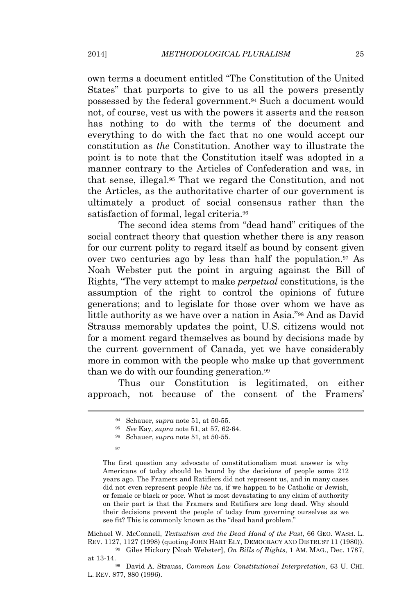own terms a document entitled "The Constitution of the United States" that purports to give to us all the powers presently possessed by the federal government.<sup>94</sup> Such a document would not, of course, vest us with the powers it asserts and the reason has nothing to do with the terms of the document and everything to do with the fact that no one would accept our constitution as *the* Constitution. Another way to illustrate the point is to note that the Constitution itself was adopted in a manner contrary to the Articles of Confederation and was, in that sense, illegal.<sup>95</sup> That we regard the Constitution, and not the Articles, as the authoritative charter of our government is ultimately a product of social consensus rather than the satisfaction of formal, legal criteria.<sup>96</sup>

The second idea stems from "dead hand" critiques of the social contract theory that question whether there is any reason for our current polity to regard itself as bound by consent given over two centuries ago by less than half the population.<sup>97</sup> As Noah Webster put the point in arguing against the Bill of Rights, "The very attempt to make *perpetual* constitutions, is the assumption of the right to control the opinions of future generations; and to legislate for those over whom we have as little authority as we have over a nation in Asia."<sup>98</sup> And as David Strauss memorably updates the point, U.S. citizens would not for a moment regard themselves as bound by decisions made by the current government of Canada, yet we have considerably more in common with the people who make up that government than we do with our founding generation.<sup>99</sup>

Thus our Constitution is legitimated, on either approach, not because of the consent of the Framers'

97

The first question any advocate of constitutionalism must answer is why Americans of today should be bound by the decisions of people some 212 years ago. The Framers and Ratifiers did not represent us, and in many cases did not even represent people *like* us, if we happen to be Catholic or Jewish, or female or black or poor. What is most devastating to any claim of authority on their part is that the Framers and Ratifiers are long dead. Why should their decisions prevent the people of today from governing ourselves as we see fit? This is commonly known as the "dead hand problem."

Michael W. McConnell, *Textualism and the Dead Hand of the Past*, 66 GEO. WASH. L. REV. 1127, 1127 (1998) (quoting JOHN HART ELY, DEMOCRACY AND DISTRUST 11 (1980)).

<sup>98</sup> Giles Hickory [Noah Webster], *On Bills of Rights*, 1 AM. MAG., Dec. 1787, at 13-14.

<sup>99</sup> David A. Strauss, *Common Law Constitutional Interpretation*, 63 U. CHI. L. REV. 877, 880 (1996).

<sup>94</sup> Schauer, *supra* note 51, at 50-55.

<sup>95</sup> *See* Kay, *supra* note 51, at 57, 62-64.

<sup>96</sup> Schauer, *supra* note 51, at 50-55.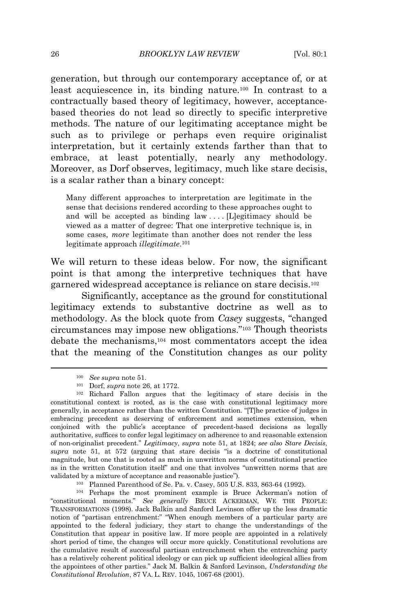generation, but through our contemporary acceptance of, or at least acquiescence in, its binding nature.<sup>100</sup> In contrast to a contractually based theory of legitimacy, however, acceptancebased theories do not lead so directly to specific interpretive methods. The nature of our legitimating acceptance might be such as to privilege or perhaps even require originalist interpretation, but it certainly extends farther than that to embrace, at least potentially, nearly any methodology. Moreover, as Dorf observes, legitimacy, much like stare decisis, is a scalar rather than a binary concept:

Many different approaches to interpretation are legitimate in the sense that decisions rendered according to these approaches ought to and will be accepted as binding law . . . . [L]egitimacy should be viewed as a matter of degree: That one interpretive technique is, in some cases, *more* legitimate than another does not render the less legitimate approach *illegitimate*. 101

We will return to these ideas below. For now, the significant point is that among the interpretive techniques that have garnered widespread acceptance is reliance on stare decisis.<sup>102</sup>

Significantly, acceptance as the ground for constitutional legitimacy extends to substantive doctrine as well as to methodology. As the block quote from *Casey* suggests, "changed circumstances may impose new obligations." <sup>103</sup> Though theorists debate the mechanisms,<sup>104</sup> most commentators accept the idea that the meaning of the Constitution changes as our polity

<sup>103</sup> Planned Parenthood of Se. Pa. v. Casey, 505 U.S. 833, 863-64 (1992).

<sup>100</sup> *See supra* note 51.

<sup>101</sup> Dorf, *supra* note 26, at 1772.

<sup>102</sup> Richard Fallon argues that the legitimacy of stare decisis in the constitutional context is rooted, as is the case with constitutional legitimacy more generally, in acceptance rather than the written Constitution. "[T]he practice of judges in embracing precedent as deserving of enforcement and sometimes extension, when conjoined with the public's acceptance of precedent-based decisions as legally authoritative, suffices to confer legal legitimacy on adherence to and reasonable extension of non-originalist precedent." *Legitimacy*, *supra* note 51, at 1824; *see also Stare Decisis*, *supra* note 51, at 572 (arguing that stare decisis "is a doctrine of constitutional magnitude, but one that is rooted as much in unwritten norms of constitutional practice as in the written Constitution itself" and one that involves "unwritten norms that are validated by a mixture of acceptance and reasonable justice").

<sup>104</sup> Perhaps the most prominent example is Bruce Ackerman's notion of "constitutional moments." *See generally* BRUCE ACKERMAN, WE THE PEOPLE: TRANSFORMATIONS (1998). Jack Balkin and Sanford Levinson offer up the less dramatic notion of "partisan entrenchment:" "When enough members of a particular party are appointed to the federal judiciary, they start to change the understandings of the Constitution that appear in positive law. If more people are appointed in a relatively short period of time, the changes will occur more quickly. Constitutional revolutions are the cumulative result of successful partisan entrenchment when the entrenching party has a relatively coherent political ideology or can pick up sufficient ideological allies from the appointees of other parties." Jack M. Balkin & Sanford Levinson, *Understanding the Constitutional Revolution*, 87 VA. L. REV. 1045, 1067-68 (2001).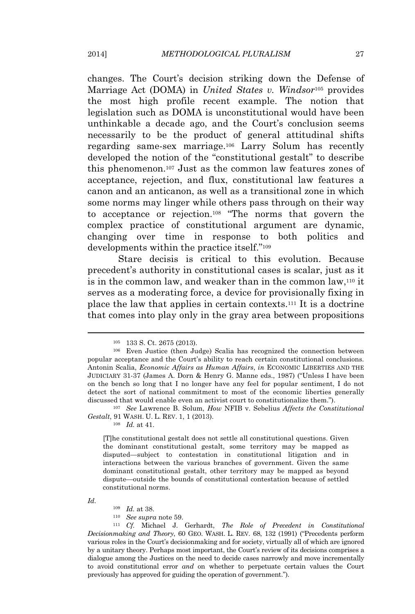changes. The Court's decision striking down the Defense of Marriage Act (DOMA) in *United States v. Windsor*<sup>105</sup> provides the most high profile recent example. The notion that legislation such as DOMA is unconstitutional would have been unthinkable a decade ago, and the Court's conclusion seems necessarily to be the product of general attitudinal shifts regarding same-sex marriage.<sup>106</sup> Larry Solum has recently developed the notion of the "constitutional gestalt" to describe this phenomenon.<sup>107</sup> Just as the common law features zones of acceptance, rejection, and flux, constitutional law features a canon and an anticanon, as well as a transitional zone in which some norms may linger while others pass through on their way to acceptance or rejection.<sup>108</sup> "The norms that govern the complex practice of constitutional argument are dynamic, changing over time in response to both politics and developments within the practice itself." 109

Stare decisis is critical to this evolution. Because precedent's authority in constitutional cases is scalar, just as it is in the common law, and weaker than in the common law,<sup>110</sup> it serves as a moderating force, a device for provisionally fixing in place the law that applies in certain contexts.<sup>111</sup> It is a doctrine that comes into play only in the gray area between propositions

<sup>107</sup> *See* Lawrence B. Solum, *How* NFIB v. Sebelius *Affects the Constitutional Gestalt*, 91 WASH. U. L. REV. 1, 1 (2013).

<sup>108</sup> *Id.* at 41.

[T]he constitutional gestalt does not settle all constitutional questions. Given the dominant constitutional gestalt, some territory may be mapped as disputed—subject to contestation in constitutional litigation and in interactions between the various branches of government. Given the same dominant constitutional gestalt, other territory may be mapped as beyond dispute—outside the bounds of constitutional contestation because of settled constitutional norms.

*Id.*

<sup>110</sup> *See supra* note 59.

<sup>111</sup> *Cf*. Michael J. Gerhardt, *The Role of Precedent in Constitutional Decisionmaking and Theory*, 60 GEO. WASH. L. REV. 68, 132 (1991) ("Precedents perform various roles in the Court's decisionmaking and for society, virtually all of which are ignored by a unitary theory. Perhaps most important, the Court's review of its decisions comprises a dialogue among the Justices on the need to decide cases narrowly and move incrementally to avoid constitutional error *and* on whether to perpetuate certain values the Court previously has approved for guiding the operation of government.").

<sup>105</sup> 133 S. Ct. 2675 (2013).

<sup>106</sup> Even Justice (then Judge) Scalia has recognized the connection between popular acceptance and the Court's ability to reach certain constitutional conclusions. Antonin Scalia, *Economic Affairs as Human Affairs*, *in* ECONOMIC LIBERTIES AND THE JUDICIARY 31-37 (James A. Dorn & Henry G. Manne eds., 1987) ("Unless I have been on the bench so long that I no longer have any feel for popular sentiment, I do not detect the sort of national commitment to most of the economic liberties generally discussed that would enable even an activist court to constitutionalize them.").

<sup>109</sup> *Id.* at 38.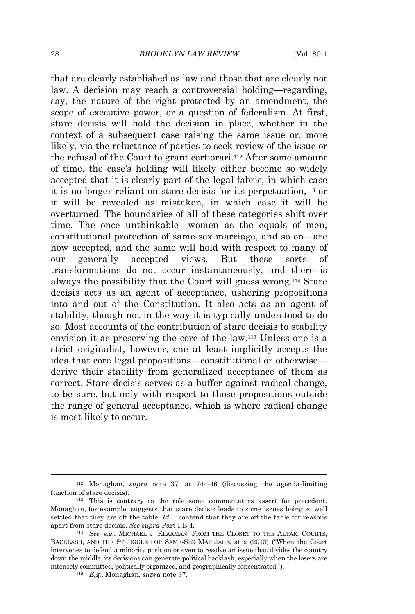that are clearly established as law and those that are clearly not law. A decision may reach a controversial holding—regarding, say, the nature of the right protected by an amendment, the scope of executive power, or a question of federalism. At first, stare decisis will hold the decision in place, whether in the context of a subsequent case raising the same issue or, more likely, via the reluctance of parties to seek review of the issue or the refusal of the Court to grant certiorari.<sup>112</sup> After some amount of time, the case's holding will likely either become so widely accepted that it is clearly part of the legal fabric, in which case it is no longer reliant on stare decisis for its perpetuation,<sup>113</sup> or it will be revealed as mistaken, in which case it will be overturned. The boundaries of all of these categories shift over time. The once unthinkable—women as the equals of men, constitutional protection of same-sex marriage, and so on—are now accepted, and the same will hold with respect to many of our generally accepted views. But these sorts of transformations do not occur instantaneously, and there is always the possibility that the Court will guess wrong.<sup>114</sup> Stare decisis acts as an agent of acceptance, ushering propositions into and out of the Constitution. It also acts as an agent of stability, though not in the way it is typically understood to do so. Most accounts of the contribution of stare decisis to stability envision it as preserving the core of the law.<sup>115</sup> Unless one is a strict originalist, however, one at least implicitly accepts the idea that core legal propositions—constitutional or otherwise derive their stability from generalized acceptance of them as correct. Stare decisis serves as a buffer against radical change, to be sure, but only with respect to those propositions outside the range of general acceptance, which is where radical change is most likely to occur.

<sup>112</sup> Monaghan, *supra* note 37, at 744-46 (discussing the agenda-limiting function of stare decisis).

<sup>113</sup> This is contrary to the role some commentators assert for precedent. Monaghan, for example, suggests that stare decisis leads to some issues being so well settled that they are off the table. *Id.* I contend that they are off the table for reasons apart from stare decisis. *See supra* Part I.B.4.

<sup>114</sup> *See, e.g.*, MICHAEL J. KLARMAN, FROM THE CLOSET TO THE ALTAR: COURTS, BACKLASH, AND THE STRUGGLE FOR SAME-SEX MARRIAGE, at x (2013) ("When the Court intervenes to defend a minority position or even to resolve an issue that divides the country down the middle, its decisions can generate political backlash, especially when the losers are intensely committed, politically organized, and geographically concentrated.").

<sup>115</sup> *E.g.*, Monaghan, *supra* note 37.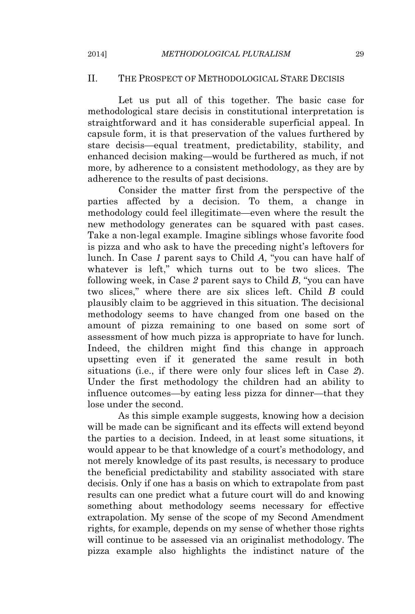2014] *METHODOLOGICAL PLURALISM* 29

### II. THE PROSPECT OF METHODOLOGICAL STARE DECISIS

Let us put all of this together. The basic case for methodological stare decisis in constitutional interpretation is straightforward and it has considerable superficial appeal. In capsule form, it is that preservation of the values furthered by stare decisis—equal treatment, predictability, stability, and enhanced decision making—would be furthered as much, if not more, by adherence to a consistent methodology, as they are by adherence to the results of past decisions.

Consider the matter first from the perspective of the parties affected by a decision. To them, a change in methodology could feel illegitimate—even where the result the new methodology generates can be squared with past cases. Take a non-legal example. Imagine siblings whose favorite food is pizza and who ask to have the preceding night's leftovers for lunch. In Case *1* parent says to Child *A*, "you can have half of whatever is left," which turns out to be two slices. The following week, in Case *2* parent says to Child *B*, "you can have two slices," where there are six slices left. Child *B* could plausibly claim to be aggrieved in this situation. The decisional methodology seems to have changed from one based on the amount of pizza remaining to one based on some sort of assessment of how much pizza is appropriate to have for lunch. Indeed, the children might find this change in approach upsetting even if it generated the same result in both situations (i.e., if there were only four slices left in Case *2*). Under the first methodology the children had an ability to influence outcomes—by eating less pizza for dinner—that they lose under the second.

As this simple example suggests, knowing how a decision will be made can be significant and its effects will extend beyond the parties to a decision. Indeed, in at least some situations, it would appear to be that knowledge of a court's methodology, and not merely knowledge of its past results, is necessary to produce the beneficial predictability and stability associated with stare decisis. Only if one has a basis on which to extrapolate from past results can one predict what a future court will do and knowing something about methodology seems necessary for effective extrapolation. My sense of the scope of my Second Amendment rights, for example, depends on my sense of whether those rights will continue to be assessed via an originalist methodology. The pizza example also highlights the indistinct nature of the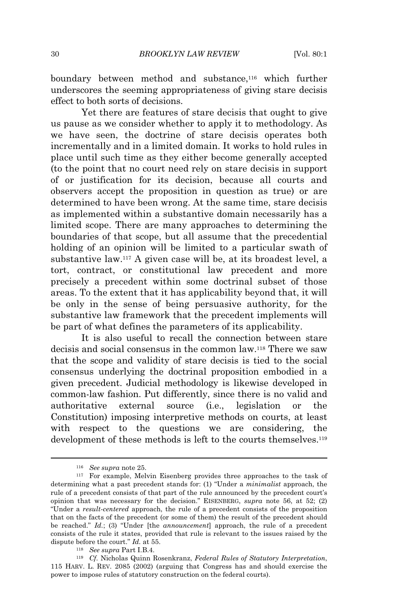boundary between method and substance,<sup>116</sup> which further underscores the seeming appropriateness of giving stare decisis effect to both sorts of decisions.

Yet there are features of stare decisis that ought to give us pause as we consider whether to apply it to methodology. As we have seen, the doctrine of stare decisis operates both incrementally and in a limited domain. It works to hold rules in place until such time as they either become generally accepted (to the point that no court need rely on stare decisis in support of or justification for its decision, because all courts and observers accept the proposition in question as true) or are determined to have been wrong. At the same time, stare decisis as implemented within a substantive domain necessarily has a limited scope. There are many approaches to determining the boundaries of that scope, but all assume that the precedential holding of an opinion will be limited to a particular swath of substantive law.<sup>117</sup> A given case will be, at its broadest level, a tort, contract, or constitutional law precedent and more precisely a precedent within some doctrinal subset of those areas. To the extent that it has applicability beyond that, it will be only in the sense of being persuasive authority, for the substantive law framework that the precedent implements will be part of what defines the parameters of its applicability.

It is also useful to recall the connection between stare decisis and social consensus in the common law.<sup>118</sup> There we saw that the scope and validity of stare decisis is tied to the social consensus underlying the doctrinal proposition embodied in a given precedent. Judicial methodology is likewise developed in common-law fashion. Put differently, since there is no valid and authoritative external source (i.e., legislation or the Constitution) imposing interpretive methods on courts, at least with respect to the questions we are considering, the development of these methods is left to the courts themselves.<sup>119</sup>

<sup>116</sup> *See supra* note 25.

<sup>117</sup> For example, Melvin Eisenberg provides three approaches to the task of determining what a past precedent stands for: (1) "Under a *minimalist* approach, the rule of a precedent consists of that part of the rule announced by the precedent court's opinion that was necessary for the decision." EISENBERG, *supra* note 56, at 52; (2) "Under a *result-centered* approach, the rule of a precedent consists of the proposition that on the facts of the precedent (or some of them) the result of the precedent should be reached." *Id.*; (3) "Under [the *announcement*] approach, the rule of a precedent consists of the rule it states, provided that rule is relevant to the issues raised by the dispute before the court." *Id.* at 55.

<sup>118</sup> *See supra* Part I.B.4.

<sup>119</sup> *Cf.* Nicholas Quinn Rosenkranz, *Federal Rules of Statutory Interpretation*, 115 HARV. L. REV. 2085 (2002) (arguing that Congress has and should exercise the power to impose rules of statutory construction on the federal courts).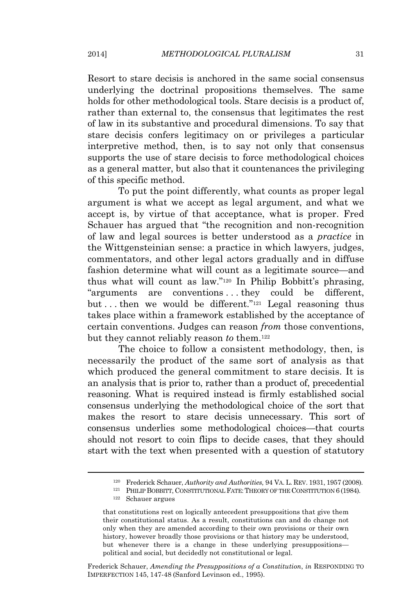Resort to stare decisis is anchored in the same social consensus underlying the doctrinal propositions themselves. The same holds for other methodological tools. Stare decisis is a product of, rather than external to, the consensus that legitimates the rest of law in its substantive and procedural dimensions. To say that stare decisis confers legitimacy on or privileges a particular interpretive method, then, is to say not only that consensus supports the use of stare decisis to force methodological choices as a general matter, but also that it countenances the privileging of this specific method.

To put the point differently, what counts as proper legal argument is what we accept as legal argument, and what we accept is, by virtue of that acceptance, what is proper. Fred Schauer has argued that "the recognition and non-recognition of law and legal sources is better understood as a *practice* in the Wittgensteinian sense: a practice in which lawyers, judges, commentators, and other legal actors gradually and in diffuse fashion determine what will count as a legitimate source—and thus what will count as law." <sup>120</sup> In Philip Bobbitt's phrasing, "arguments are conventions . . . they could be different, but...then we would be different."<sup>121</sup> Legal reasoning thus takes place within a framework established by the acceptance of certain conventions. Judges can reason *from* those conventions, but they cannot reliably reason *to* them.<sup>122</sup>

The choice to follow a consistent methodology, then, is necessarily the product of the same sort of analysis as that which produced the general commitment to stare decisis. It is an analysis that is prior to, rather than a product of, precedential reasoning. What is required instead is firmly established social consensus underlying the methodological choice of the sort that makes the resort to stare decisis unnecessary. This sort of consensus underlies some methodological choices—that courts should not resort to coin flips to decide cases, that they should start with the text when presented with a question of statutory

Frederick Schauer, *Amending the Presuppositions of a Constitution*, *in* RESPONDING TO IMPERFECTION 145, 147-48 (Sanford Levinson ed., 1995).

<sup>120</sup> Frederick Schauer, *Authority and Authorities*, 94 VA. L. REV. 1931, 1957 (2008).

<sup>121</sup> PHILIP BOBBITT, CONSTITUTIONAL FATE: THEORY OF THE CONSTITUTION 6 (1984). <sup>122</sup> Schauer argues

that constitutions rest on logically antecedent presuppositions that give them their constitutional status. As a result, constitutions can and do change not only when they are amended according to their own provisions or their own history, however broadly those provisions or that history may be understood, but whenever there is a change in these underlying presuppositions political and social, but decidedly not constitutional or legal.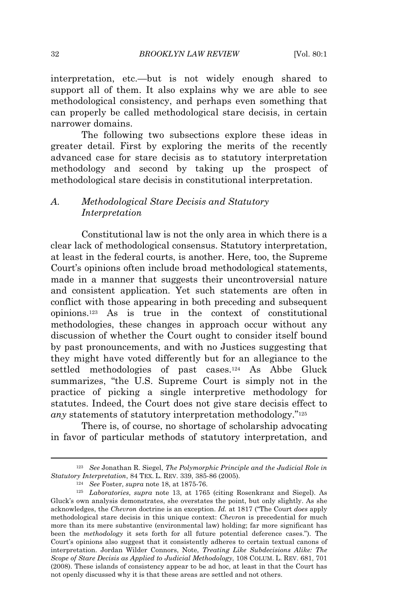interpretation, etc.—but is not widely enough shared to support all of them. It also explains why we are able to see methodological consistency, and perhaps even something that can properly be called methodological stare decisis, in certain narrower domains.

The following two subsections explore these ideas in greater detail. First by exploring the merits of the recently advanced case for stare decisis as to statutory interpretation methodology and second by taking up the prospect of methodological stare decisis in constitutional interpretation.

# *A. Methodological Stare Decisis and Statutory Interpretation*

Constitutional law is not the only area in which there is a clear lack of methodological consensus. Statutory interpretation, at least in the federal courts, is another. Here, too, the Supreme Court's opinions often include broad methodological statements, made in a manner that suggests their uncontroversial nature and consistent application. Yet such statements are often in conflict with those appearing in both preceding and subsequent opinions.<sup>123</sup> As is true in the context of constitutional methodologies, these changes in approach occur without any discussion of whether the Court ought to consider itself bound by past pronouncements, and with no Justices suggesting that they might have voted differently but for an allegiance to the settled methodologies of past cases.<sup>124</sup> As Abbe Gluck summarizes, "the U.S. Supreme Court is simply not in the practice of picking a single interpretive methodology for statutes. Indeed, the Court does not give stare decisis effect to any statements of statutory interpretation methodology."<sup>125</sup>

There is, of course, no shortage of scholarship advocating in favor of particular methods of statutory interpretation, and

<sup>123</sup> *See* Jonathan R. Siegel, *The Polymorphic Principle and the Judicial Role in Statutory Interpretation*, 84 TEX. L. REV. 339, 385-86 (2005).

<sup>124</sup> *See* Foster, *supra* note 18, at 1875-76.

<sup>125</sup> *Laboratories*, *supra* note 13, at 1765 (citing Rosenkranz and Siegel). As Gluck's own analysis demonstrates, she overstates the point, but only slightly. As she acknowledges, the *Chevron* doctrine is an exception. *Id.* at 1817 ("The Court *does* apply methodological stare decisis in this unique context: *Chevron* is precedential for much more than its mere substantive (environmental law) holding; far more significant has been the *methodology* it sets forth for all future potential deference cases."). The Court's opinions also suggest that it consistently adheres to certain textual canons of interpretation. Jordan Wilder Connors, Note, *Treating Like Subdecisions Alike: The Scope of Stare Decisis as Applied to Judicial Methodology*, 108 COLUM. L. REV. 681, 701 (2008). These islands of consistency appear to be ad hoc, at least in that the Court has not openly discussed why it is that these areas are settled and not others.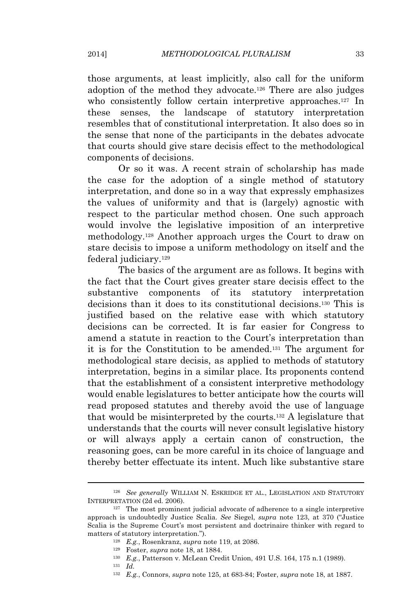those arguments, at least implicitly, also call for the uniform adoption of the method they advocate.<sup>126</sup> There are also judges who consistently follow certain interpretive approaches.<sup>127</sup> In these senses, the landscape of statutory interpretation resembles that of constitutional interpretation. It also does so in the sense that none of the participants in the debates advocate that courts should give stare decisis effect to the methodological components of decisions.

Or so it was. A recent strain of scholarship has made the case for the adoption of a single method of statutory interpretation, and done so in a way that expressly emphasizes the values of uniformity and that is (largely) agnostic with respect to the particular method chosen. One such approach would involve the legislative imposition of an interpretive methodology.<sup>128</sup> Another approach urges the Court to draw on stare decisis to impose a uniform methodology on itself and the federal judiciary.<sup>129</sup>

The basics of the argument are as follows. It begins with the fact that the Court gives greater stare decisis effect to the substantive components of its statutory interpretation decisions than it does to its constitutional decisions.<sup>130</sup> This is justified based on the relative ease with which statutory decisions can be corrected. It is far easier for Congress to amend a statute in reaction to the Court's interpretation than it is for the Constitution to be amended.<sup>131</sup> The argument for methodological stare decisis, as applied to methods of statutory interpretation, begins in a similar place. Its proponents contend that the establishment of a consistent interpretive methodology would enable legislatures to better anticipate how the courts will read proposed statutes and thereby avoid the use of language that would be misinterpreted by the courts.<sup>132</sup> A legislature that understands that the courts will never consult legislative history or will always apply a certain canon of construction, the reasoning goes, can be more careful in its choice of language and thereby better effectuate its intent. Much like substantive stare

<sup>&</sup>lt;sup>126</sup> See generally WILLIAM N. ESKRIDGE ET AL., LEGISLATION AND STATUTORY INTERPRETATION (2d ed. 2006).

<sup>127</sup> The most prominent judicial advocate of adherence to a single interpretive approach is undoubtedly Justice Scalia. *See* Siegel, *supra* note 123, at 370 ("Justice Scalia is the Supreme Court's most persistent and doctrinaire thinker with regard to matters of statutory interpretation.").

<sup>128</sup> *E.g.*, Rosenkranz, *supra* note 119, at 2086.

<sup>129</sup> Foster, *supra* note 18, at 1884.

<sup>130</sup> *E.g.*, Patterson v. McLean Credit Union, 491 U.S. 164, 175 n.1 (1989).

<sup>131</sup> *Id.*

<sup>132</sup> *E.g.*, Connors, *supra* note 125, at 683-84; Foster, *supra* note 18, at 1887.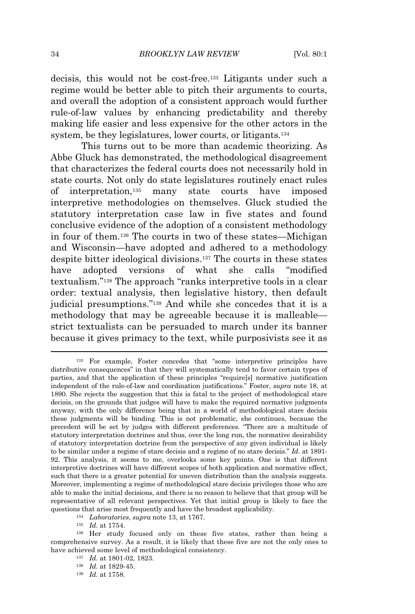decisis, this would not be cost-free.<sup>133</sup> Litigants under such a regime would be better able to pitch their arguments to courts, and overall the adoption of a consistent approach would further rule-of-law values by enhancing predictability and thereby making life easier and less expensive for the other actors in the system, be they legislatures, lower courts, or litigants.<sup>134</sup>

This turns out to be more than academic theorizing. As Abbe Gluck has demonstrated, the methodological disagreement that characterizes the federal courts does not necessarily hold in state courts. Not only do state legislatures routinely enact rules of interpretation,<sup>135</sup> many state courts have imposed interpretive methodologies on themselves. Gluck studied the statutory interpretation case law in five states and found conclusive evidence of the adoption of a consistent methodology in four of them.<sup>136</sup> The courts in two of these states—Michigan and Wisconsin—have adopted and adhered to a methodology despite bitter ideological divisions.<sup>137</sup> The courts in these states have adopted versions of what she calls "modified textualism." <sup>138</sup> The approach "ranks interpretive tools in a clear order: textual analysis, then legislative history, then default judicial presumptions." <sup>139</sup> And while she concedes that it is a methodology that may be agreeable because it is malleable strict textualists can be persuaded to march under its banner because it gives primacy to the text, while purposivists see it as

<sup>133</sup> For example, Foster concedes that "some interpretive principles have distributive consequences" in that they will systematically tend to favor certain types of parties, and that the application of these principles "require[s] normative justification independent of the rule-of-law and coordination justifications." Foster, *supra* note 18, at 1890. She rejects the suggestion that this is fatal to the project of methodological stare decisis, on the grounds that judges will have to make the required normative judgments anyway, with the only difference being that in a world of methodological stare decisis these judgments will be binding. This is not problematic, she continues, because the precedent will be set by judges with different preferences. "There are a multitude of statutory interpretation doctrines and thus, over the long run, the normative desirability of statutory interpretation doctrine from the perspective of any given individual is likely to be similar under a regime of stare decisis and a regime of no stare decisis." *Id.* at 1891- 92. This analysis, it seems to me, overlooks some key points. One is that different interpretive doctrines will have different scopes of both application and normative effect, such that there is a greater potential for uneven distribution than the analysis suggests. Moreover, implementing a regime of methodological stare decisis privileges those who are able to make the initial decisions, and there is no reason to believe that that group will be representative of all relevant perspectives. Yet that initial group is likely to face the questions that arise most frequently and have the broadest applicability.

<sup>134</sup> *Laboratories*, *supra* note 13, at 1767.

<sup>135</sup> *Id.* at 1754.

<sup>136</sup> Her study focused only on these five states, rather than being a comprehensive survey. As a result, it is likely that these five are not the only ones to have achieved some level of methodological consistency.

<sup>137</sup> *Id.* at 1801-02, 1823.

<sup>138</sup> *Id.* at 1829-45.

<sup>139</sup> *Id.* at 1758.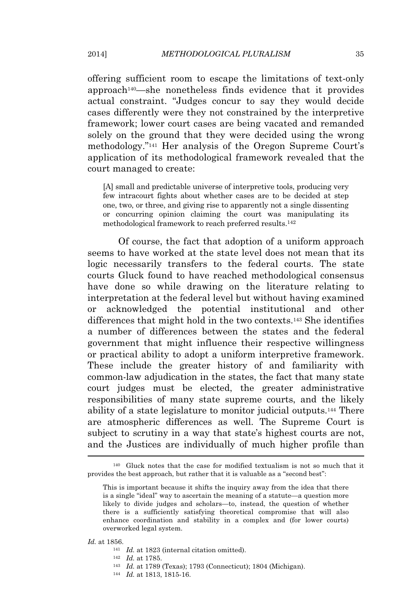offering sufficient room to escape the limitations of text-only approach140—she nonetheless finds evidence that it provides actual constraint. "Judges concur to say they would decide cases differently were they not constrained by the interpretive framework; lower court cases are being vacated and remanded solely on the ground that they were decided using the wrong methodology." <sup>141</sup> Her analysis of the Oregon Supreme Court's application of its methodological framework revealed that the court managed to create:

[A] small and predictable universe of interpretive tools, producing very few intracourt fights about whether cases are to be decided at step one, two, or three, and giving rise to apparently not a single dissenting or concurring opinion claiming the court was manipulating its methodological framework to reach preferred results.<sup>142</sup>

Of course, the fact that adoption of a uniform approach seems to have worked at the state level does not mean that its logic necessarily transfers to the federal courts. The state courts Gluck found to have reached methodological consensus have done so while drawing on the literature relating to interpretation at the federal level but without having examined or acknowledged the potential institutional and other differences that might hold in the two contexts.<sup>143</sup> She identifies a number of differences between the states and the federal government that might influence their respective willingness or practical ability to adopt a uniform interpretive framework. These include the greater history of and familiarity with common-law adjudication in the states, the fact that many state court judges must be elected, the greater administrative responsibilities of many state supreme courts, and the likely ability of a state legislature to monitor judicial outputs.<sup>144</sup> There are atmospheric differences as well. The Supreme Court is subject to scrutiny in a way that state's highest courts are not, and the Justices are individually of much higher profile than

*Id.* at 1856.

<sup>141</sup> *Id.* at 1823 (internal citation omitted).

<sup>142</sup> *Id.* at 1785.

- <sup>143</sup> *Id.* at 1789 (Texas); 1793 (Connecticut); 1804 (Michigan).
- <sup>144</sup> *Id.* at 1813, 1815-16.

<sup>140</sup> Gluck notes that the case for modified textualism is not so much that it provides the best approach, but rather that it is valuable as a "second best":

This is important because it shifts the inquiry away from the idea that there is a single "ideal" way to ascertain the meaning of a statute—a question more likely to divide judges and scholars—to, instead, the question of whether there is a sufficiently satisfying theoretical compromise that will also enhance coordination and stability in a complex and (for lower courts) overworked legal system.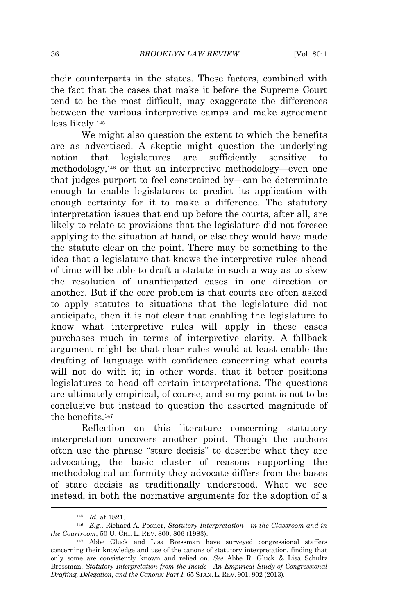their counterparts in the states. These factors, combined with the fact that the cases that make it before the Supreme Court tend to be the most difficult, may exaggerate the differences between the various interpretive camps and make agreement less likely.<sup>145</sup>

We might also question the extent to which the benefits are as advertised. A skeptic might question the underlying notion that legislatures are sufficiently sensitive to methodology,<sup>146</sup> or that an interpretive methodology—even one that judges purport to feel constrained by—can be determinate enough to enable legislatures to predict its application with enough certainty for it to make a difference. The statutory interpretation issues that end up before the courts, after all, are likely to relate to provisions that the legislature did not foresee applying to the situation at hand, or else they would have made the statute clear on the point. There may be something to the idea that a legislature that knows the interpretive rules ahead of time will be able to draft a statute in such a way as to skew the resolution of unanticipated cases in one direction or another. But if the core problem is that courts are often asked to apply statutes to situations that the legislature did not anticipate, then it is not clear that enabling the legislature to know what interpretive rules will apply in these cases purchases much in terms of interpretive clarity. A fallback argument might be that clear rules would at least enable the drafting of language with confidence concerning what courts will not do with it; in other words, that it better positions legislatures to head off certain interpretations. The questions are ultimately empirical, of course, and so my point is not to be conclusive but instead to question the asserted magnitude of the benefits.<sup>147</sup>

Reflection on this literature concerning statutory interpretation uncovers another point. Though the authors often use the phrase "stare decisis" to describe what they are advocating, the basic cluster of reasons supporting the methodological uniformity they advocate differs from the bases of stare decisis as traditionally understood. What we see instead, in both the normative arguments for the adoption of a

<sup>145</sup> *Id.* at 1821.

<sup>146</sup> *E.g.*, Richard A. Posner, *Statutory Interpretation—in the Classroom and in the Courtroom*, 50 U. CHI. L. REV. 800, 806 (1983).

<sup>147</sup> Abbe Gluck and Lisa Bressman have surveyed congressional staffers concerning their knowledge and use of the canons of statutory interpretation, finding that only some are consistently known and relied on. *See* Abbe R. Gluck & Lisa Schultz Bressman, *Statutory Interpretation from the Inside—An Empirical Study of Congressional Drafting, Delegation, and the Canons: Part I*, 65 STAN. L. REV. 901, 902 (2013).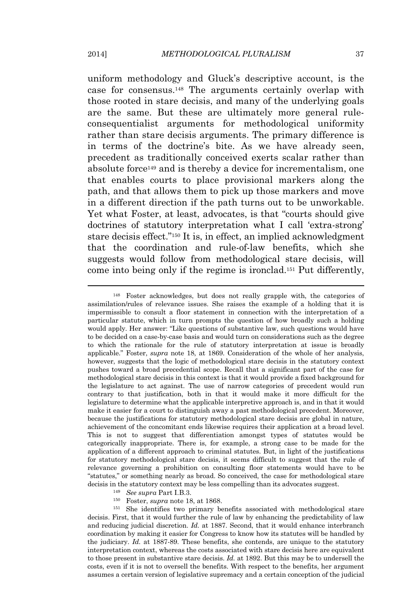uniform methodology and Gluck's descriptive account, is the case for consensus.<sup>148</sup> The arguments certainly overlap with those rooted in stare decisis, and many of the underlying goals are the same. But these are ultimately more general ruleconsequentialist arguments for methodological uniformity rather than stare decisis arguments. The primary difference is in terms of the doctrine's bite. As we have already seen, precedent as traditionally conceived exerts scalar rather than absolute force<sup>149</sup> and is thereby a device for incrementalism, one that enables courts to place provisional markers along the path, and that allows them to pick up those markers and move in a different direction if the path turns out to be unworkable. Yet what Foster, at least, advocates, is that "courts should give doctrines of statutory interpretation what I call 'extra-strong' stare decisis effect." <sup>150</sup> It is, in effect, an implied acknowledgment that the coordination and rule-of-law benefits, which she suggests would follow from methodological stare decisis, will come into being only if the regime is ironclad.<sup>151</sup> Put differently,

- <sup>149</sup> *See supra* Part I.B.3.
- <sup>150</sup> Foster, *supra* note 18, at 1868.

<sup>151</sup> She identifies two primary benefits associated with methodological stare decisis. First, that it would further the rule of law by enhancing the predictability of law and reducing judicial discretion. *Id.* at 1887. Second, that it would enhance interbranch coordination by making it easier for Congress to know how its statutes will be handled by the judiciary. *Id.* at 1887-89. These benefits, she contends, are unique to the statutory interpretation context, whereas the costs associated with stare decisis here are equivalent to those present in substantive stare decisis. *Id.* at 1892. But this may be to undersell the costs, even if it is not to oversell the benefits. With respect to the benefits, her argument assumes a certain version of legislative supremacy and a certain conception of the judicial

<sup>148</sup> Foster acknowledges, but does not really grapple with, the categories of assimilation/rules of relevance issues. She raises the example of a holding that it is impermissible to consult a floor statement in connection with the interpretation of a particular statute, which in turn prompts the question of how broadly such a holding would apply. Her answer: "Like questions of substantive law, such questions would have to be decided on a case-by-case basis and would turn on considerations such as the degree to which the rationale for the rule of statutory interpretation at issue is broadly applicable." Foster, *supra* note 18, at 1869. Consideration of the whole of her analysis, however, suggests that the logic of methodological stare decisis in the statutory context pushes toward a broad precedential scope. Recall that a significant part of the case for methodological stare decisis in this context is that it would provide a fixed background for the legislature to act against. The use of narrow categories of precedent would run contrary to that justification, both in that it would make it more difficult for the legislature to determine what the applicable interpretive approach is, and in that it would make it easier for a court to distinguish away a past methodological precedent. Moreover, because the justifications for statutory methodological stare decisis are global in nature, achievement of the concomitant ends likewise requires their application at a broad level. This is not to suggest that differentiation amongst types of statutes would be categorically inappropriate. There is, for example, a strong case to be made for the application of a different approach to criminal statutes. But, in light of the justifications for statutory methodological stare decisis, it seems difficult to suggest that the rule of relevance governing a prohibition on consulting floor statements would have to be "statutes," or something nearly as broad. So conceived, the case for methodological stare decisis in the statutory context may be less compelling than its advocates suggest.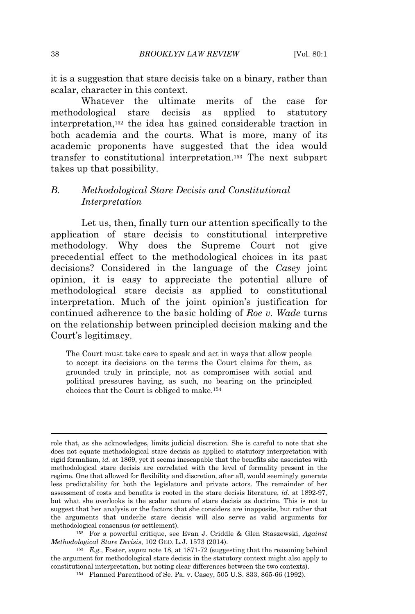it is a suggestion that stare decisis take on a binary, rather than scalar, character in this context.

Whatever the ultimate merits of the case for methodological stare decisis as applied to statutory interpretation,<sup>152</sup> the idea has gained considerable traction in both academia and the courts. What is more, many of its academic proponents have suggested that the idea would transfer to constitutional interpretation.<sup>153</sup> The next subpart takes up that possibility.

# *B. Methodological Stare Decisis and Constitutional Interpretation*

Let us, then, finally turn our attention specifically to the application of stare decisis to constitutional interpretive methodology. Why does the Supreme Court not give precedential effect to the methodological choices in its past decisions? Considered in the language of the *Casey* joint opinion, it is easy to appreciate the potential allure of methodological stare decisis as applied to constitutional interpretation. Much of the joint opinion's justification for continued adherence to the basic holding of *Roe v. Wade* turns on the relationship between principled decision making and the Court's legitimacy.

The Court must take care to speak and act in ways that allow people to accept its decisions on the terms the Court claims for them, as grounded truly in principle, not as compromises with social and political pressures having, as such, no bearing on the principled choices that the Court is obliged to make.<sup>154</sup>

role that, as she acknowledges, limits judicial discretion. She is careful to note that she does not equate methodological stare decisis as applied to statutory interpretation with rigid formalism, *id.* at 1869, yet it seems inescapable that the benefits she associates with methodological stare decisis are correlated with the level of formality present in the regime. One that allowed for flexibility and discretion, after all, would seemingly generate less predictability for both the legislature and private actors. The remainder of her assessment of costs and benefits is rooted in the stare decisis literature, *id.* at 1892-97, but what she overlooks is the scalar nature of stare decisis as doctrine. This is not to suggest that her analysis or the factors that she considers are inapposite, but rather that the arguments that underlie stare decisis will also serve as valid arguments for methodological consensus (or settlement).

<sup>152</sup> For a powerful critique, see Evan J. Criddle & Glen Staszewski, *Against Methodological Stare Decisis*, 102 GEO. L.J. 1573 (2014).

<sup>153</sup> *E.g.*, Foster, *supra* note 18, at 1871-72 (suggesting that the reasoning behind the argument for methodological stare decisis in the statutory context might also apply to constitutional interpretation, but noting clear differences between the two contexts).

<sup>154</sup> Planned Parenthood of Se. Pa. v. Casey, 505 U.S. 833, 865-66 (1992).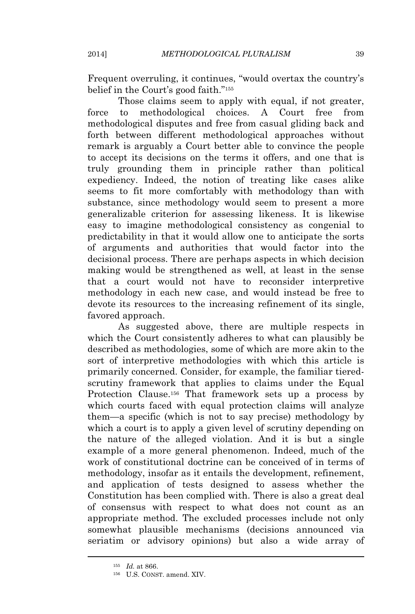Frequent overruling, it continues, "would overtax the country's belief in the Court's good faith."<sup>155</sup>

Those claims seem to apply with equal, if not greater, force to methodological choices. A Court free from methodological disputes and free from casual gliding back and forth between different methodological approaches without remark is arguably a Court better able to convince the people to accept its decisions on the terms it offers, and one that is truly grounding them in principle rather than political expediency. Indeed, the notion of treating like cases alike seems to fit more comfortably with methodology than with substance, since methodology would seem to present a more generalizable criterion for assessing likeness. It is likewise easy to imagine methodological consistency as congenial to predictability in that it would allow one to anticipate the sorts of arguments and authorities that would factor into the decisional process. There are perhaps aspects in which decision making would be strengthened as well, at least in the sense that a court would not have to reconsider interpretive methodology in each new case, and would instead be free to devote its resources to the increasing refinement of its single, favored approach.

As suggested above, there are multiple respects in which the Court consistently adheres to what can plausibly be described as methodologies, some of which are more akin to the sort of interpretive methodologies with which this article is primarily concerned. Consider, for example, the familiar tieredscrutiny framework that applies to claims under the Equal Protection Clause.<sup>156</sup> That framework sets up a process by which courts faced with equal protection claims will analyze them—a specific (which is not to say precise) methodology by which a court is to apply a given level of scrutiny depending on the nature of the alleged violation. And it is but a single example of a more general phenomenon. Indeed, much of the work of constitutional doctrine can be conceived of in terms of methodology, insofar as it entails the development, refinement, and application of tests designed to assess whether the Constitution has been complied with. There is also a great deal of consensus with respect to what does not count as an appropriate method. The excluded processes include not only somewhat plausible mechanisms (decisions announced via seriatim or advisory opinions) but also a wide array of

<sup>155</sup> *Id.* at 866.

<sup>156</sup> U.S. CONST. amend. XIV.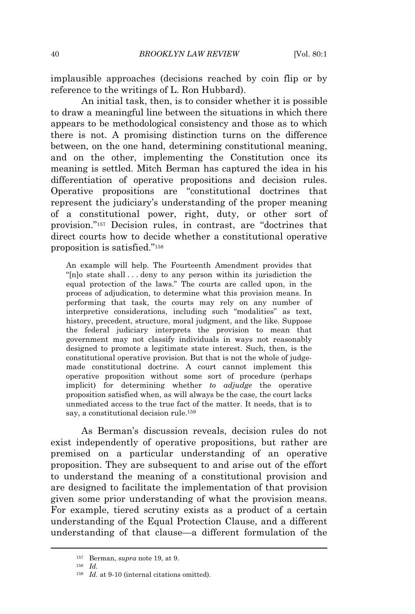implausible approaches (decisions reached by coin flip or by reference to the writings of L. Ron Hubbard).

An initial task, then, is to consider whether it is possible to draw a meaningful line between the situations in which there appears to be methodological consistency and those as to which there is not. A promising distinction turns on the difference between, on the one hand, determining constitutional meaning, and on the other, implementing the Constitution once its meaning is settled. Mitch Berman has captured the idea in his differentiation of operative propositions and decision rules. Operative propositions are "constitutional doctrines that represent the judiciary's understanding of the proper meaning of a constitutional power, right, duty, or other sort of provision." <sup>157</sup> Decision rules, in contrast, are "doctrines that direct courts how to decide whether a constitutional operative proposition is satisfied." 158

An example will help. The Fourteenth Amendment provides that "[n]o state shall . . . deny to any person within its jurisdiction the equal protection of the laws." The courts are called upon, in the process of adjudication, to determine what this provision means. In performing that task, the courts may rely on any number of interpretive considerations, including such "modalities" as text, history, precedent, structure, moral judgment, and the like. Suppose the federal judiciary interprets the provision to mean that government may not classify individuals in ways not reasonably designed to promote a legitimate state interest. Such, then, is the constitutional operative provision. But that is not the whole of judgemade constitutional doctrine. A court cannot implement this operative proposition without some sort of procedure (perhaps implicit) for determining whether *to adjudge* the operative proposition satisfied when, as will always be the case, the court lacks unmediated access to the true fact of the matter. It needs, that is to say, a constitutional decision rule.<sup>159</sup>

As Berman's discussion reveals, decision rules do not exist independently of operative propositions, but rather are premised on a particular understanding of an operative proposition. They are subsequent to and arise out of the effort to understand the meaning of a constitutional provision and are designed to facilitate the implementation of that provision given some prior understanding of what the provision means. For example, tiered scrutiny exists as a product of a certain understanding of the Equal Protection Clause, and a different understanding of that clause—a different formulation of the

<sup>157</sup> Berman, *supra* note 19, at 9.

<sup>158</sup> *Id.*

<sup>159</sup> *Id.* at 9-10 (internal citations omitted).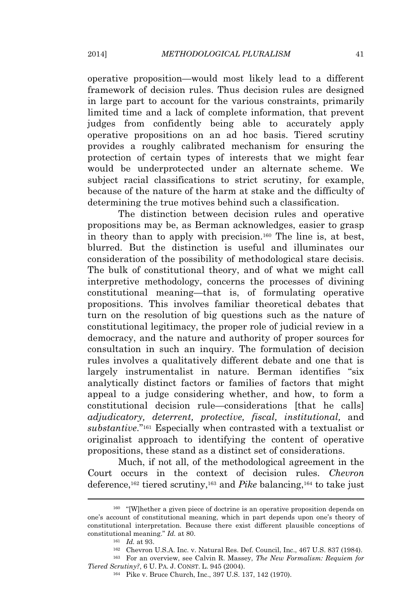operative proposition—would most likely lead to a different framework of decision rules. Thus decision rules are designed in large part to account for the various constraints, primarily limited time and a lack of complete information, that prevent judges from confidently being able to accurately apply operative propositions on an ad hoc basis. Tiered scrutiny provides a roughly calibrated mechanism for ensuring the protection of certain types of interests that we might fear would be underprotected under an alternate scheme. We subject racial classifications to strict scrutiny, for example, because of the nature of the harm at stake and the difficulty of determining the true motives behind such a classification.

The distinction between decision rules and operative propositions may be, as Berman acknowledges, easier to grasp in theory than to apply with precision.<sup>160</sup> The line is, at best, blurred. But the distinction is useful and illuminates our consideration of the possibility of methodological stare decisis. The bulk of constitutional theory, and of what we might call interpretive methodology, concerns the processes of divining constitutional meaning—that is, of formulating operative propositions. This involves familiar theoretical debates that turn on the resolution of big questions such as the nature of constitutional legitimacy, the proper role of judicial review in a democracy, and the nature and authority of proper sources for consultation in such an inquiry. The formulation of decision rules involves a qualitatively different debate and one that is largely instrumentalist in nature. Berman identifies "six analytically distinct factors or families of factors that might appeal to a judge considering whether, and how, to form a constitutional decision rule—considerations [that he calls] *adjudicatory, deterrent, protective, fiscal, institutional,* and *substantive*." <sup>161</sup> Especially when contrasted with a textualist or originalist approach to identifying the content of operative propositions, these stand as a distinct set of considerations.

Much, if not all, of the methodological agreement in the Court occurs in the context of decision rules. *Chevron* deference,<sup>162</sup> tiered scrutiny,<sup>163</sup> and *Pike* balancing,<sup>164</sup> to take just

<sup>&</sup>lt;sup>160</sup> "[W]hether a given piece of doctrine is an operative proposition depends on one's account of constitutional meaning, which in part depends upon one's theory of constitutional interpretation. Because there exist different plausible conceptions of constitutional meaning." *Id.* at 80.

<sup>161</sup> *Id.* at 93.

<sup>162</sup> Chevron U.S.A. Inc. v. Natural Res. Def. Council, Inc., 467 U.S. 837 (1984).

<sup>163</sup> For an overview, see Calvin R. Massey, *The New Formalism: Requiem for Tiered Scrutiny?*, 6 U. PA. J. CONST. L. 945 (2004).

<sup>164</sup> Pike v. Bruce Church, Inc., 397 U.S. 137, 142 (1970).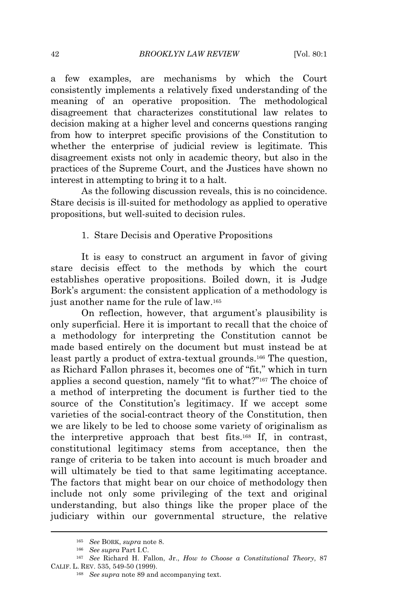a few examples, are mechanisms by which the Court consistently implements a relatively fixed understanding of the meaning of an operative proposition. The methodological disagreement that characterizes constitutional law relates to decision making at a higher level and concerns questions ranging from how to interpret specific provisions of the Constitution to whether the enterprise of judicial review is legitimate. This disagreement exists not only in academic theory, but also in the practices of the Supreme Court, and the Justices have shown no interest in attempting to bring it to a halt.

As the following discussion reveals, this is no coincidence. Stare decisis is ill-suited for methodology as applied to operative propositions, but well-suited to decision rules.

#### 1. Stare Decisis and Operative Propositions

It is easy to construct an argument in favor of giving stare decisis effect to the methods by which the court establishes operative propositions. Boiled down, it is Judge Bork's argument: the consistent application of a methodology is just another name for the rule of law.<sup>165</sup>

On reflection, however, that argument's plausibility is only superficial. Here it is important to recall that the choice of a methodology for interpreting the Constitution cannot be made based entirely on the document but must instead be at least partly a product of extra-textual grounds.<sup>166</sup> The question, as Richard Fallon phrases it, becomes one of "fit," which in turn applies a second question, namely "fit to what?"<sup>167</sup> The choice of a method of interpreting the document is further tied to the source of the Constitution's legitimacy. If we accept some varieties of the social-contract theory of the Constitution, then we are likely to be led to choose some variety of originalism as the interpretive approach that best fits.<sup>168</sup> If, in contrast, constitutional legitimacy stems from acceptance, then the range of criteria to be taken into account is much broader and will ultimately be tied to that same legitimating acceptance. The factors that might bear on our choice of methodology then include not only some privileging of the text and original understanding, but also things like the proper place of the judiciary within our governmental structure, the relative

<sup>165</sup> *See* BORK, *supra* note 8.

<sup>166</sup> *See supra* Part I.C.

<sup>167</sup> *See* Richard H. Fallon, Jr., *How to Choose a Constitutional Theory*, 87 CALIF. L. REV. 535, 549-50 (1999).

<sup>168</sup> *See supra* note 89 and accompanying text.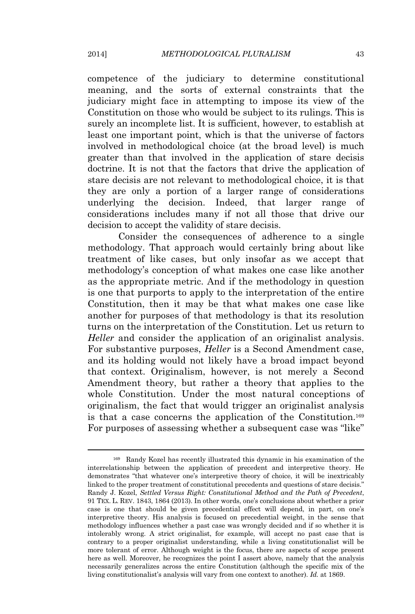competence of the judiciary to determine constitutional meaning, and the sorts of external constraints that the judiciary might face in attempting to impose its view of the Constitution on those who would be subject to its rulings. This is surely an incomplete list. It is sufficient, however, to establish at least one important point, which is that the universe of factors involved in methodological choice (at the broad level) is much greater than that involved in the application of stare decisis doctrine. It is not that the factors that drive the application of stare decisis are not relevant to methodological choice, it is that they are only a portion of a larger range of considerations underlying the decision. Indeed, that larger range of considerations includes many if not all those that drive our decision to accept the validity of stare decisis.

Consider the consequences of adherence to a single methodology. That approach would certainly bring about like treatment of like cases, but only insofar as we accept that methodology's conception of what makes one case like another as the appropriate metric. And if the methodology in question is one that purports to apply to the interpretation of the entire Constitution, then it may be that what makes one case like another for purposes of that methodology is that its resolution turns on the interpretation of the Constitution. Let us return to *Heller* and consider the application of an originalist analysis. For substantive purposes, *Heller* is a Second Amendment case, and its holding would not likely have a broad impact beyond that context. Originalism, however, is not merely a Second Amendment theory, but rather a theory that applies to the whole Constitution. Under the most natural conceptions of originalism, the fact that would trigger an originalist analysis is that a case concerns the application of the Constitution.<sup>169</sup> For purposes of assessing whether a subsequent case was "like"

<sup>169</sup> Randy Kozel has recently illustrated this dynamic in his examination of the interrelationship between the application of precedent and interpretive theory. He demonstrates "that whatever one's interpretive theory of choice, it will be inextricably linked to the proper treatment of constitutional precedents and questions of stare decisis." Randy J. Kozel, *Settled Versus Right: Constitutional Method and the Path of Precedent*, 91 TEX. L. REV. 1843, 1864 (2013). In other words, one's conclusions about whether a prior case is one that should be given precedential effect will depend, in part, on one's interpretive theory. His analysis is focused on precedential weight, in the sense that methodology influences whether a past case was wrongly decided and if so whether it is intolerably wrong. A strict originalist, for example, will accept no past case that is contrary to a proper originalist understanding, while a living constitutionalist will be more tolerant of error. Although weight is the focus, there are aspects of scope present here as well. Moreover, he recognizes the point I assert above, namely that the analysis necessarily generalizes across the entire Constitution (although the specific mix of the living constitutionalist's analysis will vary from one context to another). *Id.* at 1869.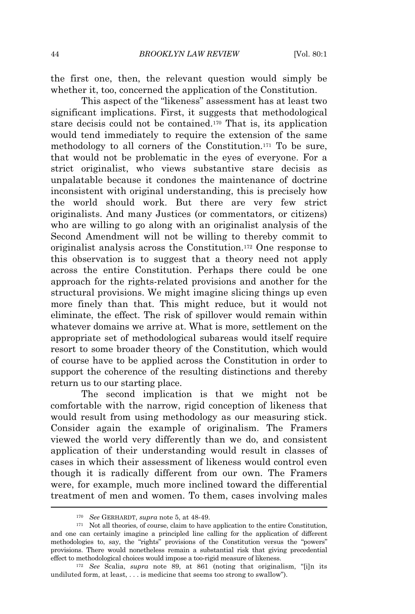the first one, then, the relevant question would simply be whether it, too, concerned the application of the Constitution.

This aspect of the "likeness" assessment has at least two significant implications. First, it suggests that methodological stare decisis could not be contained.<sup>170</sup> That is, its application would tend immediately to require the extension of the same methodology to all corners of the Constitution.<sup>171</sup> To be sure, that would not be problematic in the eyes of everyone. For a strict originalist, who views substantive stare decisis as unpalatable because it condones the maintenance of doctrine inconsistent with original understanding, this is precisely how the world should work. But there are very few strict originalists. And many Justices (or commentators, or citizens) who are willing to go along with an originalist analysis of the Second Amendment will not be willing to thereby commit to originalist analysis across the Constitution.<sup>172</sup> One response to this observation is to suggest that a theory need not apply across the entire Constitution. Perhaps there could be one approach for the rights-related provisions and another for the structural provisions. We might imagine slicing things up even more finely than that. This might reduce, but it would not eliminate, the effect. The risk of spillover would remain within whatever domains we arrive at. What is more, settlement on the appropriate set of methodological subareas would itself require resort to some broader theory of the Constitution, which would of course have to be applied across the Constitution in order to support the coherence of the resulting distinctions and thereby return us to our starting place.

The second implication is that we might not be comfortable with the narrow, rigid conception of likeness that would result from using methodology as our measuring stick. Consider again the example of originalism. The Framers viewed the world very differently than we do, and consistent application of their understanding would result in classes of cases in which their assessment of likeness would control even though it is radically different from our own. The Framers were, for example, much more inclined toward the differential treatment of men and women. To them, cases involving males

<sup>170</sup> *See* GERHARDT, *supra* note 5, at 48-49.

<sup>171</sup> Not all theories, of course, claim to have application to the entire Constitution, and one can certainly imagine a principled line calling for the application of different methodologies to, say, the "rights" provisions of the Constitution versus the "powers" provisions. There would nonetheless remain a substantial risk that giving precedential effect to methodological choices would impose a too-rigid measure of likeness.

<sup>172</sup> *See* Scalia, *supra* note 89, at 861 (noting that originalism, "[i]n its undiluted form, at least, . . . is medicine that seems too strong to swallow").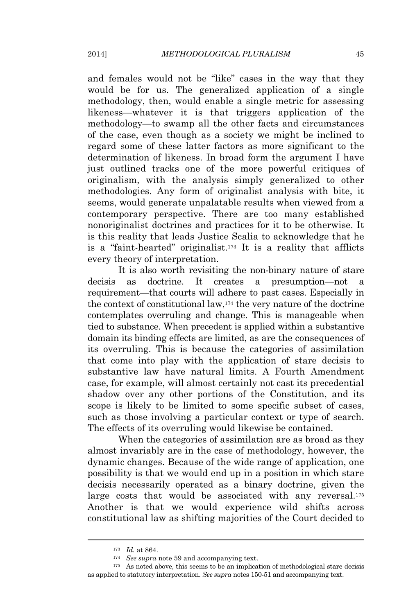and females would not be "like" cases in the way that they would be for us. The generalized application of a single methodology, then, would enable a single metric for assessing likeness—whatever it is that triggers application of the methodology—to swamp all the other facts and circumstances of the case, even though as a society we might be inclined to regard some of these latter factors as more significant to the determination of likeness. In broad form the argument I have just outlined tracks one of the more powerful critiques of originalism, with the analysis simply generalized to other methodologies. Any form of originalist analysis with bite, it seems, would generate unpalatable results when viewed from a contemporary perspective. There are too many established nonoriginalist doctrines and practices for it to be otherwise. It is this reality that leads Justice Scalia to acknowledge that he is a "faint-hearted" originalist.<sup>173</sup> It is a reality that afflicts every theory of interpretation.

It is also worth revisiting the non-binary nature of stare decisis as doctrine. It creates a presumption—not a requirement—that courts will adhere to past cases. Especially in the context of constitutional law,<sup>174</sup> the very nature of the doctrine contemplates overruling and change. This is manageable when tied to substance. When precedent is applied within a substantive domain its binding effects are limited, as are the consequences of its overruling. This is because the categories of assimilation that come into play with the application of stare decisis to substantive law have natural limits. A Fourth Amendment case, for example, will almost certainly not cast its precedential shadow over any other portions of the Constitution, and its scope is likely to be limited to some specific subset of cases, such as those involving a particular context or type of search. The effects of its overruling would likewise be contained.

When the categories of assimilation are as broad as they almost invariably are in the case of methodology, however, the dynamic changes. Because of the wide range of application, one possibility is that we would end up in a position in which stare decisis necessarily operated as a binary doctrine, given the large costs that would be associated with any reversal.<sup>175</sup> Another is that we would experience wild shifts across constitutional law as shifting majorities of the Court decided to

<sup>173</sup> *Id.* at 864.

<sup>174</sup> *See supra* note 59 and accompanying text.

<sup>175</sup> As noted above, this seems to be an implication of methodological stare decisis as applied to statutory interpretation. *See supra* notes 150-51 and accompanying text.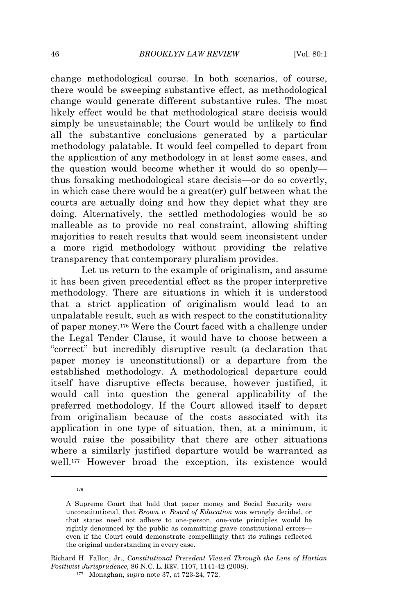change methodological course. In both scenarios, of course, there would be sweeping substantive effect, as methodological change would generate different substantive rules. The most likely effect would be that methodological stare decisis would simply be unsustainable; the Court would be unlikely to find all the substantive conclusions generated by a particular methodology palatable. It would feel compelled to depart from the application of any methodology in at least some cases, and the question would become whether it would do so openly thus forsaking methodological stare decisis—or do so covertly, in which case there would be a great(er) gulf between what the courts are actually doing and how they depict what they are doing. Alternatively, the settled methodologies would be so malleable as to provide no real constraint, allowing shifting majorities to reach results that would seem inconsistent under a more rigid methodology without providing the relative transparency that contemporary pluralism provides.

Let us return to the example of originalism, and assume it has been given precedential effect as the proper interpretive methodology. There are situations in which it is understood that a strict application of originalism would lead to an unpalatable result, such as with respect to the constitutionality of paper money.<sup>176</sup> Were the Court faced with a challenge under the Legal Tender Clause, it would have to choose between a "correct" but incredibly disruptive result (a declaration that paper money is unconstitutional) or a departure from the established methodology. A methodological departure could itself have disruptive effects because, however justified, it would call into question the general applicability of the preferred methodology. If the Court allowed itself to depart from originalism because of the costs associated with its application in one type of situation, then, at a minimum, it would raise the possibility that there are other situations where a similarly justified departure would be warranted as well.<sup>177</sup> However broad the exception, its existence would

176

Richard H. Fallon, Jr., *Constitutional Precedent Viewed Through the Lens of Hartian Positivist Jurisprudence*, 86 N.C. L. REV. 1107, 1141-42 (2008).

A Supreme Court that held that paper money and Social Security were unconstitutional, that *Brown v. Board of Education* was wrongly decided, or that states need not adhere to one-person, one-vote principles would be rightly denounced by the public as committing grave constitutional errors even if the Court could demonstrate compellingly that its rulings reflected the original understanding in every case.

<sup>177</sup> Monaghan, *supra* note 37, at 723-24, 772.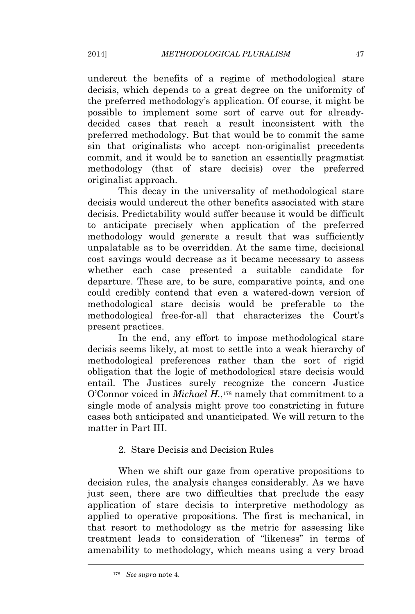undercut the benefits of a regime of methodological stare decisis, which depends to a great degree on the uniformity of the preferred methodology's application. Of course, it might be possible to implement some sort of carve out for alreadydecided cases that reach a result inconsistent with the preferred methodology. But that would be to commit the same sin that originalists who accept non-originalist precedents commit, and it would be to sanction an essentially pragmatist methodology (that of stare decisis) over the preferred originalist approach.

This decay in the universality of methodological stare decisis would undercut the other benefits associated with stare decisis. Predictability would suffer because it would be difficult to anticipate precisely when application of the preferred methodology would generate a result that was sufficiently unpalatable as to be overridden. At the same time, decisional cost savings would decrease as it became necessary to assess whether each case presented a suitable candidate for departure. These are, to be sure, comparative points, and one could credibly contend that even a watered-down version of methodological stare decisis would be preferable to the methodological free-for-all that characterizes the Court's present practices.

In the end, any effort to impose methodological stare decisis seems likely, at most to settle into a weak hierarchy of methodological preferences rather than the sort of rigid obligation that the logic of methodological stare decisis would entail. The Justices surely recognize the concern Justice O'Connor voiced in *Michael H.*, <sup>178</sup> namely that commitment to a single mode of analysis might prove too constricting in future cases both anticipated and unanticipated. We will return to the matter in Part III.

# 2. Stare Decisis and Decision Rules

When we shift our gaze from operative propositions to decision rules, the analysis changes considerably. As we have just seen, there are two difficulties that preclude the easy application of stare decisis to interpretive methodology as applied to operative propositions. The first is mechanical, in that resort to methodology as the metric for assessing like treatment leads to consideration of "likeness" in terms of amenability to methodology, which means using a very broad

<sup>178</sup> *See supra* note 4.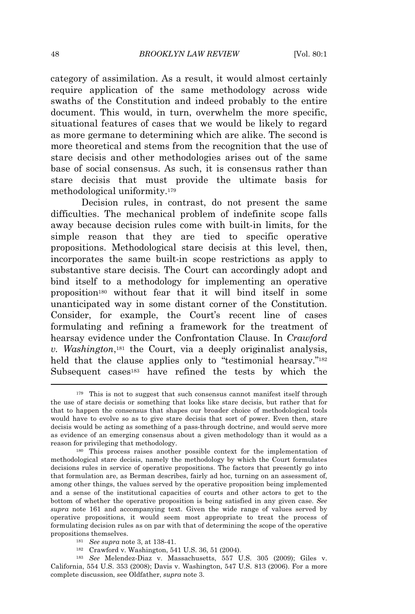category of assimilation. As a result, it would almost certainly require application of the same methodology across wide swaths of the Constitution and indeed probably to the entire document. This would, in turn, overwhelm the more specific, situational features of cases that we would be likely to regard as more germane to determining which are alike. The second is more theoretical and stems from the recognition that the use of stare decisis and other methodologies arises out of the same base of social consensus. As such, it is consensus rather than stare decisis that must provide the ultimate basis for methodological uniformity.<sup>179</sup>

Decision rules, in contrast, do not present the same difficulties. The mechanical problem of indefinite scope falls away because decision rules come with built-in limits, for the simple reason that they are tied to specific operative propositions. Methodological stare decisis at this level, then, incorporates the same built-in scope restrictions as apply to substantive stare decisis. The Court can accordingly adopt and bind itself to a methodology for implementing an operative proposition<sup>180</sup> without fear that it will bind itself in some unanticipated way in some distant corner of the Constitution. Consider, for example, the Court's recent line of cases formulating and refining a framework for the treatment of hearsay evidence under the Confrontation Clause. In *Crawford v. Washington*, <sup>181</sup> the Court, via a deeply originalist analysis, held that the clause applies only to "testimonial hearsay."<sup>182</sup> Subsequent cases<sup>183</sup> have refined the tests by which the

<sup>182</sup> Crawford v. Washington, 541 U.S. 36, 51 (2004).

<sup>183</sup> *See* Melendez-Diaz v. Massachusetts, 557 U.S. 305 (2009); Giles v. California, 554 U.S. 353 (2008); Davis v. Washington, 547 U.S. 813 (2006). For a more complete discussion, see Oldfather, *supra* note 3.

 $179$  This is not to suggest that such consensus cannot manifest itself through the use of stare decisis or something that looks like stare decisis, but rather that for that to happen the consensus that shapes our broader choice of methodological tools would have to evolve so as to give stare decisis that sort of power. Even then, stare decisis would be acting as something of a pass-through doctrine, and would serve more as evidence of an emerging consensus about a given methodology than it would as a reason for privileging that methodology.

<sup>180</sup> This process raises another possible context for the implementation of methodological stare decisis, namely the methodology by which the Court formulates decisions rules in service of operative propositions. The factors that presently go into that formulation are, as Berman describes, fairly ad hoc, turning on an assessment of, among other things, the values served by the operative proposition being implemented and a sense of the institutional capacities of courts and other actors to get to the bottom of whether the operative proposition is being satisfied in any given case. *See supra* note 161 and accompanying text. Given the wide range of values served by operative propositions, it would seem most appropriate to treat the process of formulating decision rules as on par with that of determining the scope of the operative propositions themselves.

<sup>181</sup> *See supra* note 3, at 138-41.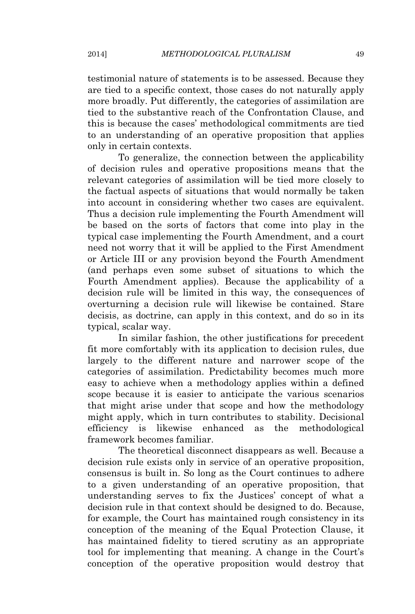testimonial nature of statements is to be assessed. Because they are tied to a specific context, those cases do not naturally apply more broadly. Put differently, the categories of assimilation are tied to the substantive reach of the Confrontation Clause, and this is because the cases' methodological commitments are tied to an understanding of an operative proposition that applies only in certain contexts.

To generalize, the connection between the applicability of decision rules and operative propositions means that the relevant categories of assimilation will be tied more closely to the factual aspects of situations that would normally be taken into account in considering whether two cases are equivalent. Thus a decision rule implementing the Fourth Amendment will be based on the sorts of factors that come into play in the typical case implementing the Fourth Amendment, and a court need not worry that it will be applied to the First Amendment or Article III or any provision beyond the Fourth Amendment (and perhaps even some subset of situations to which the Fourth Amendment applies). Because the applicability of a decision rule will be limited in this way, the consequences of overturning a decision rule will likewise be contained. Stare decisis, as doctrine, can apply in this context, and do so in its typical, scalar way.

In similar fashion, the other justifications for precedent fit more comfortably with its application to decision rules, due largely to the different nature and narrower scope of the categories of assimilation. Predictability becomes much more easy to achieve when a methodology applies within a defined scope because it is easier to anticipate the various scenarios that might arise under that scope and how the methodology might apply, which in turn contributes to stability. Decisional efficiency is likewise enhanced as the methodological framework becomes familiar.

The theoretical disconnect disappears as well. Because a decision rule exists only in service of an operative proposition, consensus is built in. So long as the Court continues to adhere to a given understanding of an operative proposition, that understanding serves to fix the Justices' concept of what a decision rule in that context should be designed to do. Because, for example, the Court has maintained rough consistency in its conception of the meaning of the Equal Protection Clause, it has maintained fidelity to tiered scrutiny as an appropriate tool for implementing that meaning. A change in the Court's conception of the operative proposition would destroy that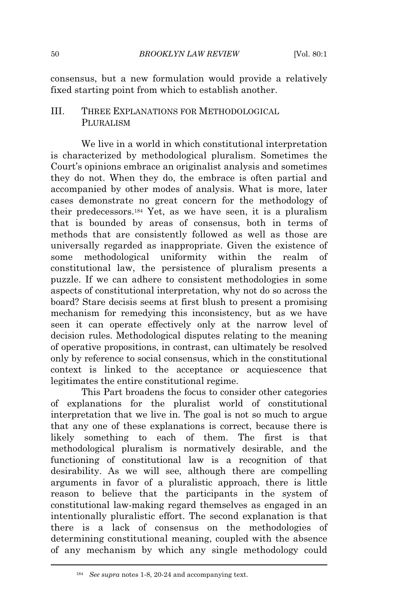consensus, but a new formulation would provide a relatively fixed starting point from which to establish another.

# III. THREE EXPLANATIONS FOR METHODOLOGICAL PLURALISM

We live in a world in which constitutional interpretation is characterized by methodological pluralism. Sometimes the Court's opinions embrace an originalist analysis and sometimes they do not. When they do, the embrace is often partial and accompanied by other modes of analysis. What is more, later cases demonstrate no great concern for the methodology of their predecessors.<sup>184</sup> Yet, as we have seen, it is a pluralism that is bounded by areas of consensus, both in terms of methods that are consistently followed as well as those are universally regarded as inappropriate. Given the existence of some methodological uniformity within the realm of constitutional law, the persistence of pluralism presents a puzzle. If we can adhere to consistent methodologies in some aspects of constitutional interpretation, why not do so across the board? Stare decisis seems at first blush to present a promising mechanism for remedying this inconsistency, but as we have seen it can operate effectively only at the narrow level of decision rules. Methodological disputes relating to the meaning of operative propositions, in contrast, can ultimately be resolved only by reference to social consensus, which in the constitutional context is linked to the acceptance or acquiescence that legitimates the entire constitutional regime.

This Part broadens the focus to consider other categories of explanations for the pluralist world of constitutional interpretation that we live in. The goal is not so much to argue that any one of these explanations is correct, because there is likely something to each of them. The first is that methodological pluralism is normatively desirable, and the functioning of constitutional law is a recognition of that desirability. As we will see, although there are compelling arguments in favor of a pluralistic approach, there is little reason to believe that the participants in the system of constitutional law-making regard themselves as engaged in an intentionally pluralistic effort. The second explanation is that there is a lack of consensus on the methodologies of determining constitutional meaning, coupled with the absence of any mechanism by which any single methodology could

<sup>184</sup> *See supra* notes 1-8, 20-24 and accompanying text.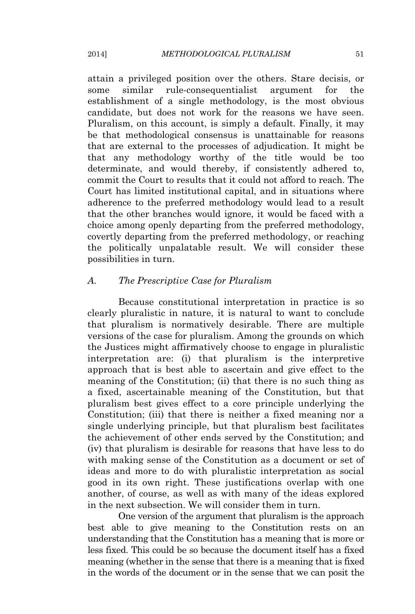attain a privileged position over the others. Stare decisis, or some similar rule-consequentialist argument for the establishment of a single methodology, is the most obvious candidate, but does not work for the reasons we have seen. Pluralism, on this account, is simply a default. Finally, it may be that methodological consensus is unattainable for reasons that are external to the processes of adjudication. It might be that any methodology worthy of the title would be too determinate, and would thereby, if consistently adhered to, commit the Court to results that it could not afford to reach. The Court has limited institutional capital, and in situations where adherence to the preferred methodology would lead to a result that the other branches would ignore, it would be faced with a choice among openly departing from the preferred methodology, covertly departing from the preferred methodology, or reaching the politically unpalatable result. We will consider these possibilities in turn.

# *A. The Prescriptive Case for Pluralism*

Because constitutional interpretation in practice is so clearly pluralistic in nature, it is natural to want to conclude that pluralism is normatively desirable. There are multiple versions of the case for pluralism. Among the grounds on which the Justices might affirmatively choose to engage in pluralistic interpretation are: (i) that pluralism is the interpretive approach that is best able to ascertain and give effect to the meaning of the Constitution; (ii) that there is no such thing as a fixed, ascertainable meaning of the Constitution, but that pluralism best gives effect to a core principle underlying the Constitution; (iii) that there is neither a fixed meaning nor a single underlying principle, but that pluralism best facilitates the achievement of other ends served by the Constitution; and (iv) that pluralism is desirable for reasons that have less to do with making sense of the Constitution as a document or set of ideas and more to do with pluralistic interpretation as social good in its own right. These justifications overlap with one another, of course, as well as with many of the ideas explored in the next subsection. We will consider them in turn.

One version of the argument that pluralism is the approach best able to give meaning to the Constitution rests on an understanding that the Constitution has a meaning that is more or less fixed. This could be so because the document itself has a fixed meaning (whether in the sense that there is a meaning that is fixed in the words of the document or in the sense that we can posit the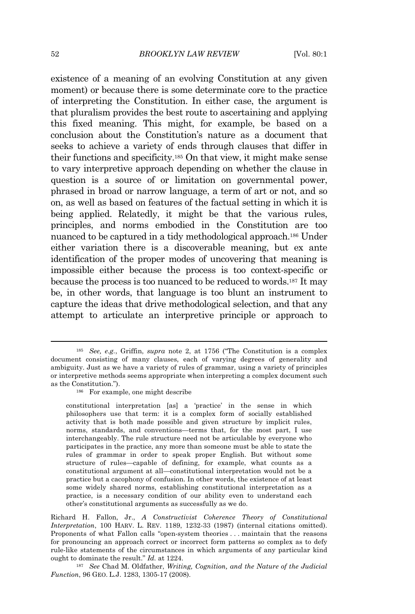existence of a meaning of an evolving Constitution at any given moment) or because there is some determinate core to the practice of interpreting the Constitution. In either case, the argument is that pluralism provides the best route to ascertaining and applying this fixed meaning. This might, for example, be based on a conclusion about the Constitution's nature as a document that seeks to achieve a variety of ends through clauses that differ in their functions and specificity.<sup>185</sup> On that view, it might make sense to vary interpretive approach depending on whether the clause in question is a source of or limitation on governmental power, phrased in broad or narrow language, a term of art or not, and so on, as well as based on features of the factual setting in which it is being applied. Relatedly, it might be that the various rules, principles, and norms embodied in the Constitution are too nuanced to be captured in a tidy methodological approach.<sup>186</sup> Under either variation there is a discoverable meaning, but ex ante identification of the proper modes of uncovering that meaning is impossible either because the process is too context-specific or because the process is too nuanced to be reduced to words.<sup>187</sup> It may be, in other words, that language is too blunt an instrument to capture the ideas that drive methodological selection, and that any attempt to articulate an interpretive principle or approach to

constitutional interpretation [as] a 'practice' in the sense in which philosophers use that term: it is a complex form of socially established activity that is both made possible and given structure by implicit rules, norms, standards, and conventions—terms that, for the most part, I use interchangeably. The rule structure need not be articulable by everyone who participates in the practice, any more than someone must be able to state the rules of grammar in order to speak proper English. But without some structure of rules—capable of defining, for example, what counts as a constitutional argument at all—constitutional interpretation would not be a practice but a cacophony of confusion. In other words, the existence of at least some widely shared norms, establishing constitutional interpretation as a practice, is a necessary condition of our ability even to understand each other's constitutional arguments as successfully as we do.

Richard H. Fallon, Jr., *A Constructivist Coherence Theory of Constitutional Interpretation*, 100 HARV. L. REV. 1189, 1232-33 (1987) (internal citations omitted). Proponents of what Fallon calls "open-system theories . . . maintain that the reasons for pronouncing an approach correct or incorrect form patterns so complex as to defy rule-like statements of the circumstances in which arguments of any particular kind ought to dominate the result." *Id.* at 1224.

<sup>187</sup> *See* Chad M. Oldfather, *Writing, Cognition, and the Nature of the Judicial Function*, 96 GEO. L.J. 1283, 1305-17 (2008).

<sup>185</sup> *See, e.g.*, Griffin, *supra* note 2, at 1756 ("The Constitution is a complex document consisting of many clauses, each of varying degrees of generality and ambiguity. Just as we have a variety of rules of grammar, using a variety of principles or interpretive methods seems appropriate when interpreting a complex document such as the Constitution.").

<sup>186</sup> For example, one might describe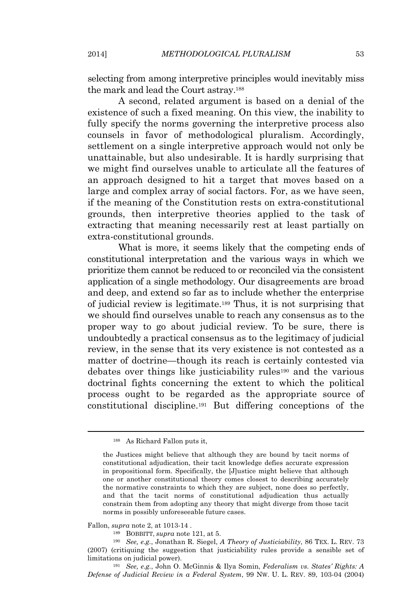selecting from among interpretive principles would inevitably miss the mark and lead the Court astray.<sup>188</sup>

A second, related argument is based on a denial of the existence of such a fixed meaning. On this view, the inability to fully specify the norms governing the interpretive process also counsels in favor of methodological pluralism. Accordingly, settlement on a single interpretive approach would not only be unattainable, but also undesirable. It is hardly surprising that we might find ourselves unable to articulate all the features of an approach designed to hit a target that moves based on a large and complex array of social factors. For, as we have seen, if the meaning of the Constitution rests on extra-constitutional grounds, then interpretive theories applied to the task of extracting that meaning necessarily rest at least partially on extra-constitutional grounds.

What is more, it seems likely that the competing ends of constitutional interpretation and the various ways in which we prioritize them cannot be reduced to or reconciled via the consistent application of a single methodology. Our disagreements are broad and deep, and extend so far as to include whether the enterprise of judicial review is legitimate.<sup>189</sup> Thus, it is not surprising that we should find ourselves unable to reach any consensus as to the proper way to go about judicial review. To be sure, there is undoubtedly a practical consensus as to the legitimacy of judicial review, in the sense that its very existence is not contested as a matter of doctrine—though its reach is certainly contested via debates over things like justiciability rules<sup>190</sup> and the various doctrinal fights concerning the extent to which the political process ought to be regarded as the appropriate source of constitutional discipline.<sup>191</sup> But differing conceptions of the

Fallon, *supra* note 2, at 1013-14 .

<sup>189</sup> BOBBITT, *supra* note 121, at 5.

<sup>188</sup> As Richard Fallon puts it,

the Justices might believe that although they are bound by tacit norms of constitutional adjudication, their tacit knowledge defies accurate expression in propositional form. Specifically, the [J]ustice might believe that although one or another constitutional theory comes closest to describing accurately the normative constraints to which they are subject, none does so perfectly, and that the tacit norms of constitutional adjudication thus actually constrain them from adopting any theory that might diverge from those tacit norms in possibly unforeseeable future cases.

<sup>190</sup> *See, e.g.*, Jonathan R. Siegel, *A Theory of Justiciability*, 86 TEX. L. REV. 73 (2007) (critiquing the suggestion that justiciability rules provide a sensible set of limitations on judicial power).

<sup>191</sup> *See, e.g.*, John O. McGinnis & Ilya Somin, *Federalism vs. States' Rights: A Defense of Judicial Review in a Federal System*, 99 NW. U. L. REV. 89, 103-04 (2004)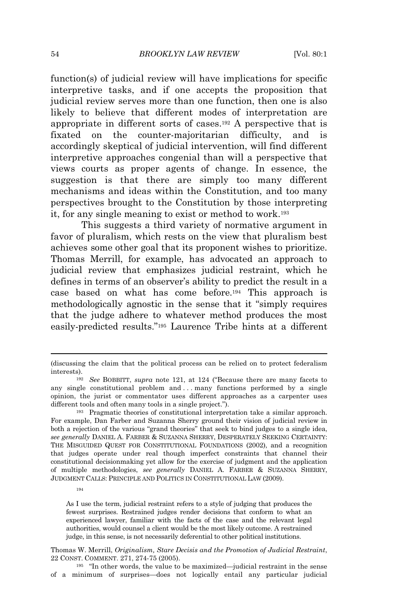function(s) of judicial review will have implications for specific interpretive tasks, and if one accepts the proposition that judicial review serves more than one function, then one is also likely to believe that different modes of interpretation are appropriate in different sorts of cases.<sup>192</sup> A perspective that is fixated on the counter-majoritarian difficulty, and is accordingly skeptical of judicial intervention, will find different interpretive approaches congenial than will a perspective that views courts as proper agents of change. In essence, the suggestion is that there are simply too many different mechanisms and ideas within the Constitution, and too many perspectives brought to the Constitution by those interpreting it, for any single meaning to exist or method to work.<sup>193</sup>

This suggests a third variety of normative argument in favor of pluralism, which rests on the view that pluralism best achieves some other goal that its proponent wishes to prioritize. Thomas Merrill, for example, has advocated an approach to judicial review that emphasizes judicial restraint, which he defines in terms of an observer's ability to predict the result in a case based on what has come before.<sup>194</sup> This approach is methodologically agnostic in the sense that it "simply requires that the judge adhere to whatever method produces the most easily-predicted results." <sup>195</sup> Laurence Tribe hints at a different

<sup>(</sup>discussing the claim that the political process can be relied on to protect federalism interests).

<sup>192</sup> *See* BOBBITT, *supra* note 121, at 124 ("Because there are many facets to any single constitutional problem and . . . many functions performed by a single opinion, the jurist or commentator uses different approaches as a carpenter uses different tools and often many tools in a single project.").

<sup>193</sup> Pragmatic theories of constitutional interpretation take a similar approach. For example, Dan Farber and Suzanna Sherry ground their vision of judicial review in both a rejection of the various "grand theories" that seek to bind judges to a single idea, *see generally* DANIEL A. FARBER & SUZANNA SHERRY, DESPERATELY SEEKING CERTAINTY: THE MISGUIDED QUEST FOR CONSTITUTIONAL FOUNDATIONS (2002), and a recognition that judges operate under real though imperfect constraints that channel their constitutional decisionmaking yet allow for the exercise of judgment and the application of multiple methodologies, *see generally* DANIEL A. FARBER & SUZANNA SHERRY, JUDGMENT CALLS: PRINCIPLE AND POLITICS IN CONSTITUTIONAL LAW (2009).

<sup>194</sup>

As I use the term, judicial restraint refers to a style of judging that produces the fewest surprises. Restrained judges render decisions that conform to what an experienced lawyer, familiar with the facts of the case and the relevant legal authorities, would counsel a client would be the most likely outcome. A restrained judge, in this sense, is not necessarily deferential to other political institutions.

Thomas W. Merrill, *Originalism, Stare Decisis and the Promotion of Judicial Restraint*, 22 CONST. COMMENT. 271, 274-75 (2005).

<sup>195</sup> "In other words, the value to be maximized—judicial restraint in the sense of a minimum of surprises—does not logically entail any particular judicial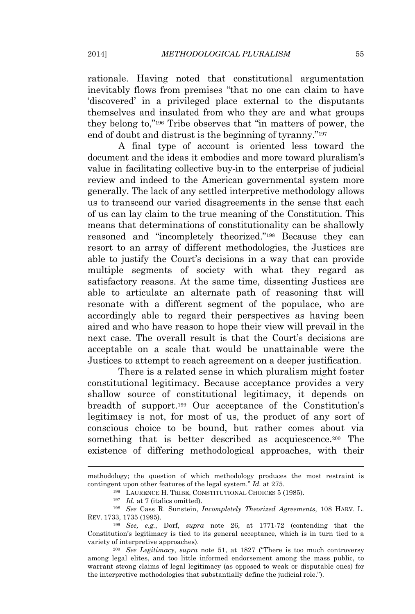rationale. Having noted that constitutional argumentation inevitably flows from premises "that no one can claim to have 'discovered' in a privileged place external to the disputants themselves and insulated from who they are and what groups they belong to," <sup>196</sup> Tribe observes that "in matters of power, the end of doubt and distrust is the beginning of tyranny."<sup>197</sup>

A final type of account is oriented less toward the document and the ideas it embodies and more toward pluralism's value in facilitating collective buy-in to the enterprise of judicial review and indeed to the American governmental system more generally. The lack of any settled interpretive methodology allows us to transcend our varied disagreements in the sense that each of us can lay claim to the true meaning of the Constitution. This means that determinations of constitutionality can be shallowly reasoned and "incompletely theorized." <sup>198</sup> Because they can resort to an array of different methodologies, the Justices are able to justify the Court's decisions in a way that can provide multiple segments of society with what they regard as satisfactory reasons. At the same time, dissenting Justices are able to articulate an alternate path of reasoning that will resonate with a different segment of the populace, who are accordingly able to regard their perspectives as having been aired and who have reason to hope their view will prevail in the next case. The overall result is that the Court's decisions are acceptable on a scale that would be unattainable were the Justices to attempt to reach agreement on a deeper justification.

There is a related sense in which pluralism might foster constitutional legitimacy. Because acceptance provides a very shallow source of constitutional legitimacy, it depends on breadth of support.<sup>199</sup> Our acceptance of the Constitution's legitimacy is not, for most of us, the product of any sort of conscious choice to be bound, but rather comes about via something that is better described as acquiescence.<sup>200</sup> The existence of differing methodological approaches, with their

methodology; the question of which methodology produces the most restraint is contingent upon other features of the legal system." *Id.* at 275.

<sup>196</sup> LAURENCE H. TRIBE, CONSTITUTIONAL CHOICES 5 (1985).

<sup>&</sup>lt;sup>197</sup> *Id.* at 7 (italics omitted).

<sup>198</sup> *See* Cass R. Sunstein, *Incompletely Theorized Agreements*, 108 HARV. L. REV. 1733, 1735 (1995).

<sup>199</sup> *See, e.g.*, Dorf, *supra* note 26, at 1771-72 (contending that the Constitution's legitimacy is tied to its general acceptance, which is in turn tied to a variety of interpretive approaches).

<sup>200</sup> *See Legitimacy*, *supra* note 51, at 1827 ("There is too much controversy among legal elites, and too little informed endorsement among the mass public, to warrant strong claims of legal legitimacy (as opposed to weak or disputable ones) for the interpretive methodologies that substantially define the judicial role.").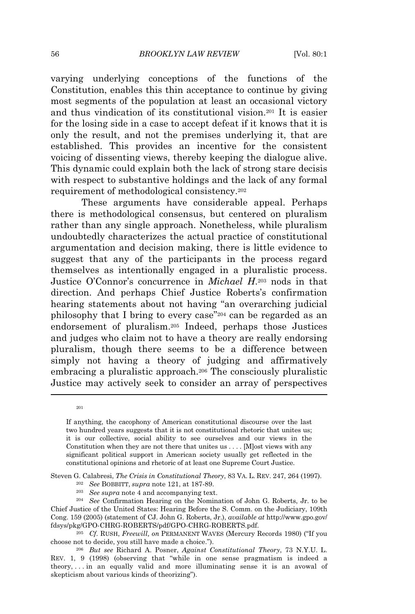varying underlying conceptions of the functions of the Constitution, enables this thin acceptance to continue by giving most segments of the population at least an occasional victory and thus vindication of its constitutional vision.<sup>201</sup> It is easier for the losing side in a case to accept defeat if it knows that it is only the result, and not the premises underlying it, that are established. This provides an incentive for the consistent voicing of dissenting views, thereby keeping the dialogue alive. This dynamic could explain both the lack of strong stare decisis with respect to substantive holdings and the lack of any formal requirement of methodological consistency.<sup>202</sup>

These arguments have considerable appeal. Perhaps there is methodological consensus, but centered on pluralism rather than any single approach. Nonetheless, while pluralism undoubtedly characterizes the actual practice of constitutional argumentation and decision making, there is little evidence to suggest that any of the participants in the process regard themselves as intentionally engaged in a pluralistic process. Justice O'Connor's concurrence in *Michael H*. <sup>203</sup> nods in that direction. And perhaps Chief Justice Roberts's confirmation hearing statements about not having "an overarching judicial philosophy that I bring to every case"<sup>204</sup> can be regarded as an endorsement of pluralism.<sup>205</sup> Indeed, perhaps those Justices and judges who claim not to have a theory are really endorsing pluralism, though there seems to be a difference between simply not having a theory of judging and affirmatively embracing a pluralistic approach.<sup>206</sup> The consciously pluralistic Justice may actively seek to consider an array of perspectives

Steven G. Calabresi, *The Crisis in Constitutional Theory*, 83 VA. L. REV. 247, 264 (1997).

<sup>202</sup> *See* BOBBITT, *supra* note 121, at 187-89.

201

<sup>203</sup> *See supra* note 4 and accompanying text.

<sup>204</sup> *See* Confirmation Hearing on the Nomination of John G. Roberts, Jr. to be Chief Justice of the United States: Hearing Before the S. Comm. on the Judiciary, 109th Cong. 159 (2005) (statement of CJ. John G. Roberts, Jr.), *available at* http://www.gpo.gov/ fdsys/pkg/GPO-CHRG-ROBERTS/pdf/GPO-CHRG-ROBERTS.pdf.

If anything, the cacophony of American constitutional discourse over the last two hundred years suggests that it is not constitutional rhetoric that unites us; it is our collective, social ability to see ourselves and our views in the Constitution when they are not there that unites us . . . . [M]ost views with any significant political support in American society usually get reflected in the constitutional opinions and rhetoric of at least one Supreme Court Justice.

<sup>205</sup> *Cf.* RUSH, *Freewill, on* PERMANENT WAVES (Mercury Records 1980) ("If you choose not to decide, you still have made a choice.").

<sup>206</sup> *But see* Richard A. Posner, *Against Constitutional Theory*, 73 N.Y.U. L. REV. 1, 9 (1998) (observing that "while in one sense pragmatism is indeed a theory, . . . in an equally valid and more illuminating sense it is an avowal of skepticism about various kinds of theorizing").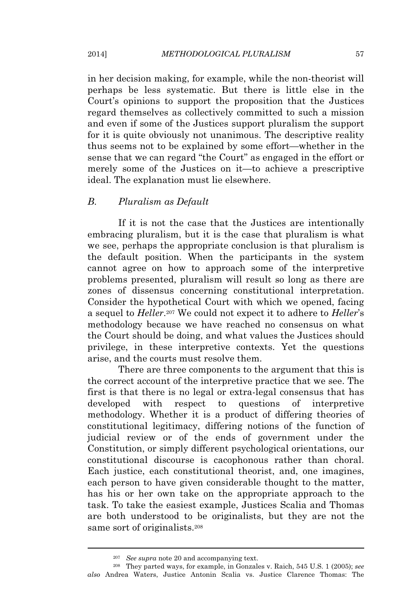in her decision making, for example, while the non-theorist will perhaps be less systematic. But there is little else in the Court's opinions to support the proposition that the Justices regard themselves as collectively committed to such a mission and even if some of the Justices support pluralism the support for it is quite obviously not unanimous. The descriptive reality thus seems not to be explained by some effort—whether in the sense that we can regard "the Court" as engaged in the effort or merely some of the Justices on it—to achieve a prescriptive ideal. The explanation must lie elsewhere.

## *B. Pluralism as Default*

If it is not the case that the Justices are intentionally embracing pluralism, but it is the case that pluralism is what we see, perhaps the appropriate conclusion is that pluralism is the default position. When the participants in the system cannot agree on how to approach some of the interpretive problems presented, pluralism will result so long as there are zones of dissensus concerning constitutional interpretation. Consider the hypothetical Court with which we opened, facing a sequel to *Heller*. <sup>207</sup> We could not expect it to adhere to *Heller*'s methodology because we have reached no consensus on what the Court should be doing, and what values the Justices should privilege, in these interpretive contexts. Yet the questions arise, and the courts must resolve them.

There are three components to the argument that this is the correct account of the interpretive practice that we see. The first is that there is no legal or extra-legal consensus that has developed with respect to questions of interpretive methodology. Whether it is a product of differing theories of constitutional legitimacy, differing notions of the function of judicial review or of the ends of government under the Constitution, or simply different psychological orientations, our constitutional discourse is cacophonous rather than choral. Each justice, each constitutional theorist, and, one imagines, each person to have given considerable thought to the matter, has his or her own take on the appropriate approach to the task. To take the easiest example, Justices Scalia and Thomas are both understood to be originalists, but they are not the same sort of originalists.<sup>208</sup>

<sup>207</sup> *See supra* note 20 and accompanying text.

<sup>208</sup> They parted ways, for example, in Gonzales v. Raich, 545 U.S. 1 (2005); *see also* Andrea Waters, Justice Antonin Scalia vs. Justice Clarence Thomas: The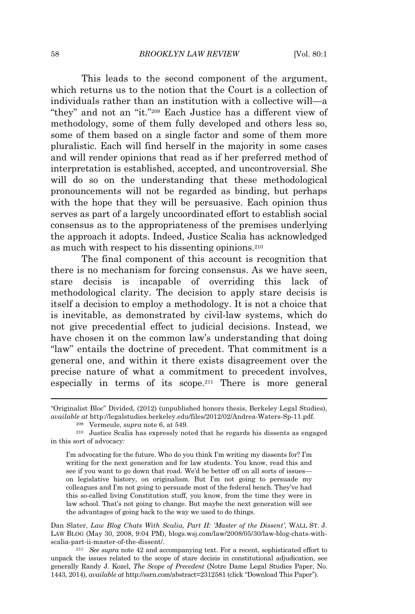This leads to the second component of the argument, which returns us to the notion that the Court is a collection of individuals rather than an institution with a collective will—a "they" and not an "it." <sup>209</sup> Each Justice has a different view of methodology, some of them fully developed and others less so, some of them based on a single factor and some of them more pluralistic. Each will find herself in the majority in some cases and will render opinions that read as if her preferred method of interpretation is established, accepted, and uncontroversial. She will do so on the understanding that these methodological pronouncements will not be regarded as binding, but perhaps with the hope that they will be persuasive. Each opinion thus serves as part of a largely uncoordinated effort to establish social consensus as to the appropriateness of the premises underlying the approach it adopts. Indeed, Justice Scalia has acknowledged as much with respect to his dissenting opinions.<sup>210</sup>

The final component of this account is recognition that there is no mechanism for forcing consensus. As we have seen, stare decisis is incapable of overriding this lack of methodological clarity. The decision to apply stare decisis is itself a decision to employ a methodology. It is not a choice that is inevitable, as demonstrated by civil-law systems, which do not give precedential effect to judicial decisions. Instead, we have chosen it on the common law's understanding that doing "law" entails the doctrine of precedent. That commitment is a general one, and within it there exists disagreement over the precise nature of what a commitment to precedent involves, especially in terms of its scope.<sup>211</sup> There is more general

<sup>209</sup> Vermeule, *supra* note 6, at 549.

I'm advocating for the future. Who do you think I'm writing my dissents for? I'm writing for the next generation and for law students. You know, read this and see if you want to go down that road. We'd be better off on all sorts of issues on legislative history, on originalism. But I'm not going to persuade my colleagues and I'm not going to persuade most of the federal bench. They've had this so-called living Constitution stuff, you know, from the time they were in law school. That's not going to change. But maybe the next generation will see the advantages of going back to the way we used to do things.

Dan Slater, *Law Blog Chats With Scalia, Part II: 'Master of the Dissent'*, WALL ST. J. LAW BLOG (May 30, 2008, 9:04 PM), blogs.wsj.com/law/2008/05/30/law-blog-chats-withscalia-part-ii-master-of-the-dissent/.

<sup>211</sup> *See supra* note 42 and accompanying text. For a recent, sophisticated effort to unpack the issues related to the scope of stare decisis in constitutional adjudication, see generally Randy J. Kozel, *The Scope of Precedent* (Notre Dame Legal Studies Paper, No. 1443, 2014), *available at* http://ssrn.com/abstract=2312581 (click "Download This Paper").

<sup>&</sup>quot;Originalist Bloc" Divided, (2012) (unpublished honors thesis, Berkeley Legal Studies), *available at* http://legalstudies.berkeley.edu/files/2012/02/Andrea-Waters-Sp-11.pdf.

<sup>210</sup> Justice Scalia has expressly noted that he regards his dissents as engaged in this sort of advocacy: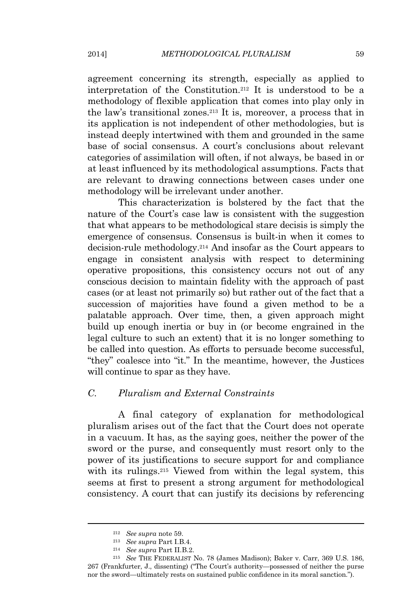agreement concerning its strength, especially as applied to interpretation of the Constitution.<sup>212</sup> It is understood to be a methodology of flexible application that comes into play only in the law's transitional zones.<sup>213</sup> It is, moreover, a process that in its application is not independent of other methodologies, but is instead deeply intertwined with them and grounded in the same base of social consensus. A court's conclusions about relevant categories of assimilation will often, if not always, be based in or at least influenced by its methodological assumptions. Facts that are relevant to drawing connections between cases under one methodology will be irrelevant under another.

This characterization is bolstered by the fact that the nature of the Court's case law is consistent with the suggestion that what appears to be methodological stare decisis is simply the emergence of consensus. Consensus is built-in when it comes to decision-rule methodology.<sup>214</sup> And insofar as the Court appears to engage in consistent analysis with respect to determining operative propositions, this consistency occurs not out of any conscious decision to maintain fidelity with the approach of past cases (or at least not primarily so) but rather out of the fact that a succession of majorities have found a given method to be a palatable approach. Over time, then, a given approach might build up enough inertia or buy in (or become engrained in the legal culture to such an extent) that it is no longer something to be called into question. As efforts to persuade become successful, "they" coalesce into "it." In the meantime, however, the Justices will continue to spar as they have.

# *C. Pluralism and External Constraints*

A final category of explanation for methodological pluralism arises out of the fact that the Court does not operate in a vacuum. It has, as the saying goes, neither the power of the sword or the purse, and consequently must resort only to the power of its justifications to secure support for and compliance with its rulings.<sup>215</sup> Viewed from within the legal system, this seems at first to present a strong argument for methodological consistency. A court that can justify its decisions by referencing

<sup>212</sup> *See supra* note 59.

<sup>213</sup> *See supra* Part I.B.4.

<sup>214</sup> *See supra* Part II.B.2.

<sup>215</sup> *See* THE FEDERALIST No. 78 (James Madison); Baker v. Carr, 369 U.S. 186, 267 (Frankfurter, J., dissenting) ("The Court's authority—possessed of neither the purse nor the sword—ultimately rests on sustained public confidence in its moral sanction.").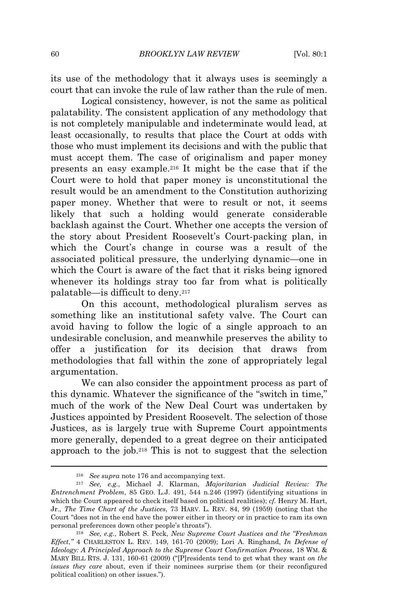its use of the methodology that it always uses is seemingly a court that can invoke the rule of law rather than the rule of men.

Logical consistency, however, is not the same as political palatability. The consistent application of any methodology that is not completely manipulable and indeterminate would lead, at least occasionally, to results that place the Court at odds with those who must implement its decisions and with the public that must accept them. The case of originalism and paper money presents an easy example.<sup>216</sup> It might be the case that if the Court were to hold that paper money is unconstitutional the result would be an amendment to the Constitution authorizing paper money. Whether that were to result or not, it seems likely that such a holding would generate considerable backlash against the Court. Whether one accepts the version of the story about President Roosevelt's Court-packing plan, in which the Court's change in course was a result of the associated political pressure, the underlying dynamic—one in which the Court is aware of the fact that it risks being ignored whenever its holdings stray too far from what is politically palatable—is difficult to deny.<sup>217</sup>

On this account, methodological pluralism serves as something like an institutional safety valve. The Court can avoid having to follow the logic of a single approach to an undesirable conclusion, and meanwhile preserves the ability to offer a justification for its decision that draws from methodologies that fall within the zone of appropriately legal argumentation.

We can also consider the appointment process as part of this dynamic. Whatever the significance of the "switch in time," much of the work of the New Deal Court was undertaken by Justices appointed by President Roosevelt. The selection of those Justices, as is largely true with Supreme Court appointments more generally, depended to a great degree on their anticipated approach to the job.<sup>218</sup> This is not to suggest that the selection

<sup>216</sup> *See supra* note 176 and accompanying text.

<sup>217</sup> *See, e.g.*, Michael J. Klarman, *Majoritarian Judicial Review: The Entrenchment Problem*, 85 GEO. L.J. 491, 544 n.246 (1997) (identifying situations in which the Court appeared to check itself based on political realities); *cf.* Henry M. Hart, Jr., *The Time Chart of the Justices*, 73 HARV. L. REV. 84, 99 (1959) (noting that the Court "does not in the end have the power either in theory or in practice to ram its own personal preferences down other people's throats").

<sup>218</sup> *See, e.g.*, Robert S. Peck, *New Supreme Court Justices and the "Freshman Effect*,*"* 4 CHARLESTON L. REV. 149, 161-70 (2009); Lori A. Ringhand, *In Defense of Ideology: A Principled Approach to the Supreme Court Confirmation Process*, 18 WM. & MARY BILL RTS. J. 131, 160-61 (2009) ("[P]residents tend to get what they want *on the issues they care* about, even if their nominees surprise them (or their reconfigured political coalition) on other issues.").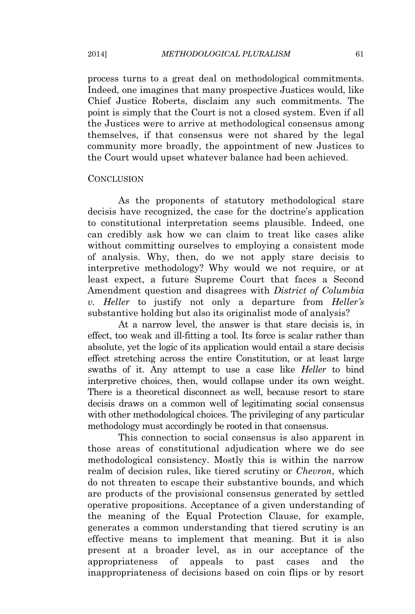process turns to a great deal on methodological commitments. Indeed, one imagines that many prospective Justices would, like Chief Justice Roberts, disclaim any such commitments. The point is simply that the Court is not a closed system. Even if all the Justices were to arrive at methodological consensus among themselves, if that consensus were not shared by the legal community more broadly, the appointment of new Justices to the Court would upset whatever balance had been achieved.

#### **CONCLUSION**

As the proponents of statutory methodological stare decisis have recognized, the case for the doctrine's application to constitutional interpretation seems plausible. Indeed, one can credibly ask how we can claim to treat like cases alike without committing ourselves to employing a consistent mode of analysis. Why, then, do we not apply stare decisis to interpretive methodology? Why would we not require, or at least expect, a future Supreme Court that faces a Second Amendment question and disagrees with *District of Columbia v. Heller* to justify not only a departure from *Heller's* substantive holding but also its originalist mode of analysis?

At a narrow level, the answer is that stare decisis is, in effect, too weak and ill-fitting a tool. Its force is scalar rather than absolute, yet the logic of its application would entail a stare decisis effect stretching across the entire Constitution, or at least large swaths of it. Any attempt to use a case like *Heller* to bind interpretive choices, then, would collapse under its own weight. There is a theoretical disconnect as well, because resort to stare decisis draws on a common well of legitimating social consensus with other methodological choices. The privileging of any particular methodology must accordingly be rooted in that consensus.

This connection to social consensus is also apparent in those areas of constitutional adjudication where we do see methodological consistency. Mostly this is within the narrow realm of decision rules, like tiered scrutiny or *Chevron*, which do not threaten to escape their substantive bounds, and which are products of the provisional consensus generated by settled operative propositions. Acceptance of a given understanding of the meaning of the Equal Protection Clause, for example, generates a common understanding that tiered scrutiny is an effective means to implement that meaning. But it is also present at a broader level, as in our acceptance of the appropriateness of appeals to past cases and the inappropriateness of decisions based on coin flips or by resort